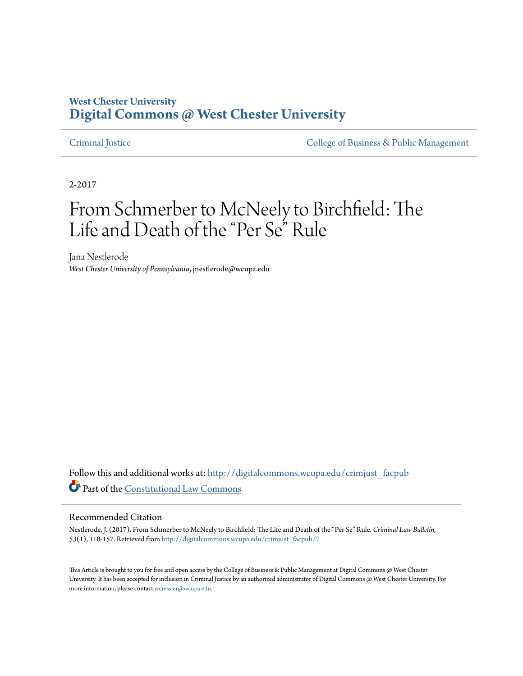## **West Chester University [Digital Commons @ West Chester University](http://digitalcommons.wcupa.edu?utm_source=digitalcommons.wcupa.edu%2Fcrimjust_facpub%2F7&utm_medium=PDF&utm_campaign=PDFCoverPages)**

[Criminal Justice](http://digitalcommons.wcupa.edu/crimjust_facpub?utm_source=digitalcommons.wcupa.edu%2Fcrimjust_facpub%2F7&utm_medium=PDF&utm_campaign=PDFCoverPages) [College of Business & Public Management](http://digitalcommons.wcupa.edu/cbpa?utm_source=digitalcommons.wcupa.edu%2Fcrimjust_facpub%2F7&utm_medium=PDF&utm_campaign=PDFCoverPages)

2-2017

# From Schmerber to McNeely to Birchfield: The Life and Death of the "Per Se" Rule

Jana Nestlerode *West Chester University of Pennsylvania*, jnestlerode@wcupa.edu

Follow this and additional works at: [http://digitalcommons.wcupa.edu/crimjust\\_facpub](http://digitalcommons.wcupa.edu/crimjust_facpub?utm_source=digitalcommons.wcupa.edu%2Fcrimjust_facpub%2F7&utm_medium=PDF&utm_campaign=PDFCoverPages) Part of the [Constitutional Law Commons](http://network.bepress.com/hgg/discipline/589?utm_source=digitalcommons.wcupa.edu%2Fcrimjust_facpub%2F7&utm_medium=PDF&utm_campaign=PDFCoverPages)

#### Recommended Citation

Nestlerode, J. (2017). From Schmerber to McNeely to Birchfield: The Life and Death of the "Per Se" Rule. *Criminal Law Bulletin, 53*(1), 110-157. Retrieved from [http://digitalcommons.wcupa.edu/crimjust\\_facpub/7](http://digitalcommons.wcupa.edu/crimjust_facpub/7?utm_source=digitalcommons.wcupa.edu%2Fcrimjust_facpub%2F7&utm_medium=PDF&utm_campaign=PDFCoverPages)

This Article is brought to you for free and open access by the College of Business & Public Management at Digital Commons @ West Chester University. It has been accepted for inclusion in Criminal Justice by an authorized administrator of Digital Commons @ West Chester University. For more information, please contact [wcressler@wcupa.edu](mailto:wcressler@wcupa.edu).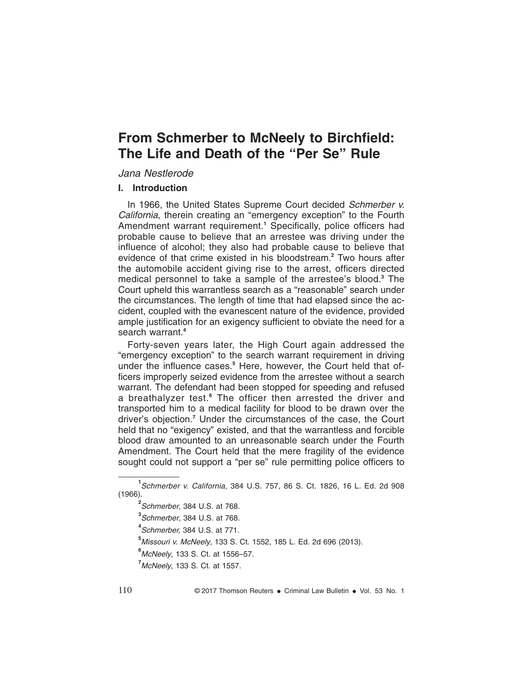# **From Schmerber to McNeely to Birchfield: The Life and Death of the "Per Se" Rule**

#### Jana Nestlerode

#### **I. Introduction**

In 1966, the United States Supreme Court decided Schmerber v. California, therein creating an "emergency exception" to the Fourth Amendment warrant requirement.**<sup>1</sup>** Specifically, police officers had probable cause to believe that an arrestee was driving under the influence of alcohol; they also had probable cause to believe that evidence of that crime existed in his bloodstream.**<sup>2</sup>** Two hours after the automobile accident giving rise to the arrest, officers directed medical personnel to take a sample of the arrestee's blood.**<sup>3</sup>** The Court upheld this warrantless search as a "reasonable" search under the circumstances. The length of time that had elapsed since the accident, coupled with the evanescent nature of the evidence, provided ample justification for an exigency sufficient to obviate the need for a search warrant.**<sup>4</sup>**

Forty-seven years later, the High Court again addressed the "emergency exception" to the search warrant requirement in driving under the influence cases.**<sup>5</sup>** Here, however, the Court held that officers improperly seized evidence from the arrestee without a search warrant. The defendant had been stopped for speeding and refused a breathalyzer test.**<sup>6</sup>** The officer then arrested the driver and transported him to a medical facility for blood to be drawn over the driver's objection.**<sup>7</sup>** Under the circumstances of the case, the Court held that no "exigency" existed, and that the warrantless and forcible blood draw amounted to an unreasonable search under the Fourth Amendment. The Court held that the mere fragility of the evidence sought could not support a "per se" rule permitting police officers to

**<sup>1</sup>** Schmerber v. California, 384 U.S. 757, 86 S. Ct. 1826, 16 L. Ed. 2d 908 (1966).

**<sup>2</sup>** Schmerber, 384 U.S. at 768.

**<sup>3</sup>** Schmerber, 384 U.S. at 768.

**<sup>4</sup>** Schmerber, 384 U.S. at 771.

**<sup>5</sup>**Missouri v. McNeely, 133 S. Ct. 1552, 185 L. Ed. 2d 696 (2013).

**<sup>6</sup>**McNeely, 133 S. Ct. at 1556–57.

**<sup>7</sup>**McNeely, 133 S. Ct. at 1557.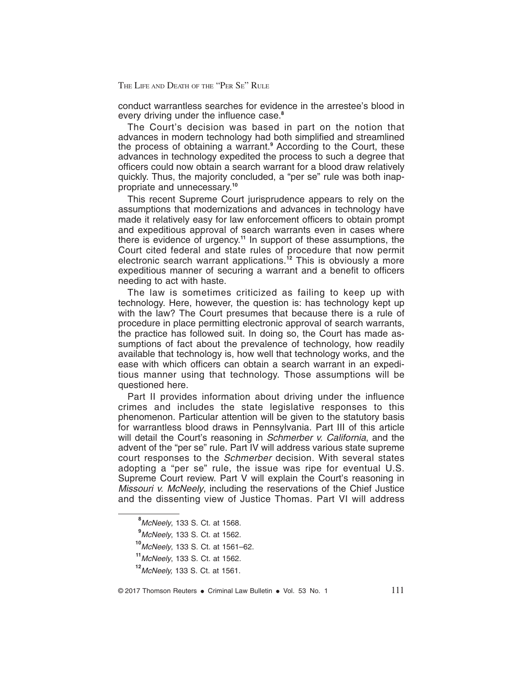conduct warrantless searches for evidence in the arrestee's blood in every driving under the influence case.**<sup>8</sup>**

The Court's decision was based in part on the notion that advances in modern technology had both simplified and streamlined the process of obtaining a warrant.**<sup>9</sup>** According to the Court, these advances in technology expedited the process to such a degree that officers could now obtain a search warrant for a blood draw relatively quickly. Thus, the majority concluded, a "per se" rule was both inappropriate and unnecessary.**<sup>10</sup>**

This recent Supreme Court jurisprudence appears to rely on the assumptions that modernizations and advances in technology have made it relatively easy for law enforcement officers to obtain prompt and expeditious approval of search warrants even in cases where there is evidence of urgency.**<sup>11</sup>** In support of these assumptions, the Court cited federal and state rules of procedure that now permit electronic search warrant applications.**<sup>12</sup>** This is obviously a more expeditious manner of securing a warrant and a benefit to officers needing to act with haste.

The law is sometimes criticized as failing to keep up with technology. Here, however, the question is: has technology kept up with the law? The Court presumes that because there is a rule of procedure in place permitting electronic approval of search warrants, the practice has followed suit. In doing so, the Court has made assumptions of fact about the prevalence of technology, how readily available that technology is, how well that technology works, and the ease with which officers can obtain a search warrant in an expeditious manner using that technology. Those assumptions will be questioned here.

Part II provides information about driving under the influence crimes and includes the state legislative responses to this phenomenon. Particular attention will be given to the statutory basis for warrantless blood draws in Pennsylvania. Part III of this article will detail the Court's reasoning in Schmerber v. California, and the advent of the "per se" rule. Part IV will address various state supreme court responses to the Schmerber decision. With several states adopting a "per se" rule, the issue was ripe for eventual U.S. Supreme Court review. Part V will explain the Court's reasoning in Missouri v. McNeely, including the reservations of the Chief Justice and the dissenting view of Justice Thomas. Part VI will address

**<sup>8</sup>**McNeely, 133 S. Ct. at 1568.

**<sup>9</sup>**McNeely, 133 S. Ct. at 1562.

**<sup>10</sup>**McNeely, 133 S. Ct. at 1561–62.

**<sup>11</sup>**McNeely, 133 S. Ct. at 1562.

**<sup>12</sup>**McNeely, 133 S. Ct. at 1561.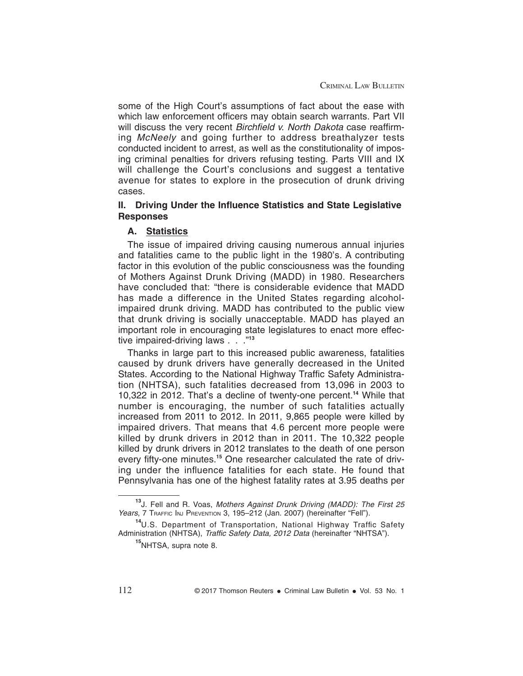some of the High Court's assumptions of fact about the ease with which law enforcement officers may obtain search warrants. Part VII will discuss the very recent Birchfield v. North Dakota case reaffirming McNeely and going further to address breathalyzer tests conducted incident to arrest, as well as the constitutionality of imposing criminal penalties for drivers refusing testing. Parts VIII and IX will challenge the Court's conclusions and suggest a tentative avenue for states to explore in the prosecution of drunk driving cases.

#### **II. Driving Under the Influence Statistics and State Legislative Responses**

#### **A. Statistics**

The issue of impaired driving causing numerous annual injuries and fatalities came to the public light in the 1980's. A contributing factor in this evolution of the public consciousness was the founding of Mothers Against Drunk Driving (MADD) in 1980. Researchers have concluded that: "there is considerable evidence that MADD has made a difference in the United States regarding alcoholimpaired drunk driving. MADD has contributed to the public view that drunk driving is socially unacceptable. MADD has played an important role in encouraging state legislatures to enact more effective impaired-driving laws . . ."**<sup>13</sup>**

Thanks in large part to this increased public awareness, fatalities caused by drunk drivers have generally decreased in the United States. According to the National Highway Traffic Safety Administration (NHTSA), such fatalities decreased from 13,096 in 2003 to 10,322 in 2012. That's a decline of twenty-one percent.**<sup>14</sup>** While that number is encouraging, the number of such fatalities actually increased from 2011 to 2012. In 2011, 9,865 people were killed by impaired drivers. That means that 4.6 percent more people were killed by drunk drivers in 2012 than in 2011. The 10,322 people killed by drunk drivers in 2012 translates to the death of one person every fifty-one minutes.**<sup>15</sup>** One researcher calculated the rate of driving under the influence fatalities for each state. He found that Pennsylvania has one of the highest fatality rates at 3.95 deaths per

**<sup>13</sup>**J. Fell and R. Voas, Mothers Against Drunk Driving (MADD): The First <sup>25</sup> Years, 7 TRAFFIC INJ PREVENTION 3, 195-212 (Jan. 2007) (hereinafter "Fell").

**<sup>14</sup>**U.S. Department of Transportation, National Highway Traffic Safety Administration (NHTSA), Traffic Safety Data, 2012 Data (hereinafter "NHTSA").

**<sup>15</sup>**NHTSA, supra note 8.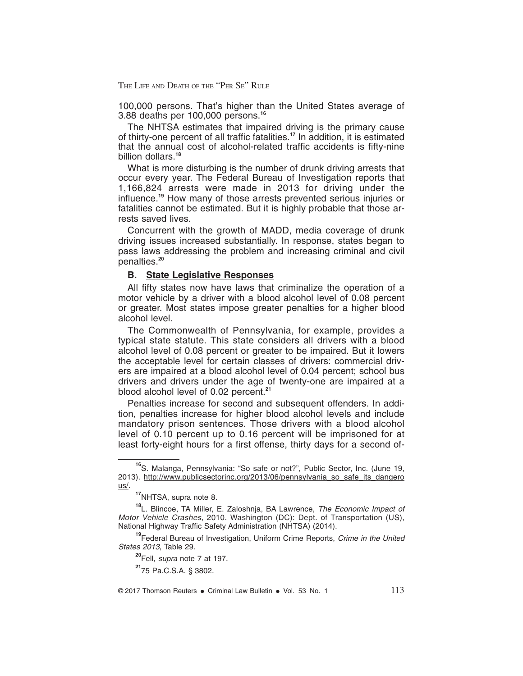100,000 persons. That's higher than the United States average of 3.88 deaths per 100,000 persons.**<sup>16</sup>**

The NHTSA estimates that impaired driving is the primary cause of thirty-one percent of all traffic fatalities.**<sup>17</sup>** In addition, it is estimated that the annual cost of alcohol-related traffic accidents is fifty-nine billion dollars.**<sup>18</sup>**

What is more disturbing is the number of drunk driving arrests that occur every year. The Federal Bureau of Investigation reports that 1,166,824 arrests were made in 2013 for driving under the influence.**<sup>19</sup>** How many of those arrests prevented serious injuries or fatalities cannot be estimated. But it is highly probable that those arrests saved lives.

Concurrent with the growth of MADD, media coverage of drunk driving issues increased substantially. In response, states began to pass laws addressing the problem and increasing criminal and civil penalties.**<sup>20</sup>**

#### **B. State Legislative Responses**

All fifty states now have laws that criminalize the operation of a motor vehicle by a driver with a blood alcohol level of 0.08 percent or greater. Most states impose greater penalties for a higher blood alcohol level.

The Commonwealth of Pennsylvania, for example, provides a typical state statute. This state considers all drivers with a blood alcohol level of 0.08 percent or greater to be impaired. But it lowers the acceptable level for certain classes of drivers: commercial drivers are impaired at a blood alcohol level of 0.04 percent; school bus drivers and drivers under the age of twenty-one are impaired at a blood alcohol level of 0.02 percent.**<sup>21</sup>**

Penalties increase for second and subsequent offenders. In addition, penalties increase for higher blood alcohol levels and include mandatory prison sentences. Those drivers with a blood alcohol level of 0.10 percent up to 0.16 percent will be imprisoned for at least forty-eight hours for a first offense, thirty days for a second of-

**<sup>16</sup>**S. Malanga, Pennsylvania: "So safe or not?", Public Sector, Inc. (June 19, 2013). http://www.publicsectorinc.org/2013/06/pennsylvania\_so\_safe\_its\_dangero us/.

**<sup>17</sup>**NHTSA, supra note 8.

**<sup>18</sup>**L. Blincoe, TA Miller, E. Zaloshnja, BA Lawrence, The Economic Impact of Motor Vehicle Crashes, 2010. Washington (DC): Dept. of Transportation (US), National Highway Traffic Safety Administration (NHTSA) (2014).

**<sup>19</sup>**Federal Bureau of Investigation, Uniform Crime Reports, Crime in the United States 2013, Table 29.

**<sup>20</sup>**Fell, supra note 7 at 197.

**<sup>21</sup>**75 Pa.C.S.A. § 3802.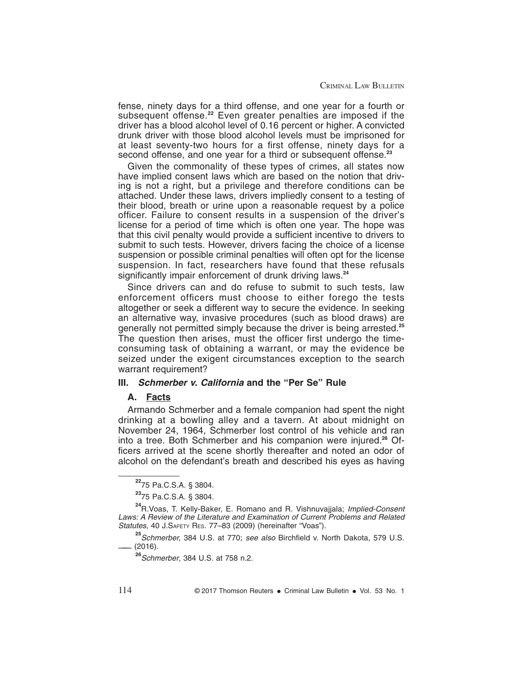fense, ninety days for a third offense, and one year for a fourth or subsequent offense.**<sup>22</sup>** Even greater penalties are imposed if the driver has a blood alcohol level of 0.16 percent or higher. A convicted drunk driver with those blood alcohol levels must be imprisoned for at least seventy-two hours for a first offense, ninety days for a second offense, and one year for a third or subsequent offense.**<sup>23</sup>**

Given the commonality of these types of crimes, all states now have implied consent laws which are based on the notion that driving is not a right, but a privilege and therefore conditions can be attached. Under these laws, drivers impliedly consent to a testing of their blood, breath or urine upon a reasonable request by a police officer. Failure to consent results in a suspension of the driver's license for a period of time which is often one year. The hope was that this civil penalty would provide a sufficient incentive to drivers to submit to such tests. However, drivers facing the choice of a license suspension or possible criminal penalties will often opt for the license suspension. In fact, researchers have found that these refusals significantly impair enforcement of drunk driving laws.**<sup>24</sup>**

Since drivers can and do refuse to submit to such tests, law enforcement officers must choose to either forego the tests altogether or seek a different way to secure the evidence. In seeking an alternative way, invasive procedures (such as blood draws) are generally not permitted simply because the driver is being arrested.**<sup>25</sup>** The question then arises, must the officer first undergo the timeconsuming task of obtaining a warrant, or may the evidence be seized under the exigent circumstances exception to the search warrant requirement?

#### **III. Schmerber v. California and the "Per Se" Rule**

#### **A. Facts**

Armando Schmerber and a female companion had spent the night drinking at a bowling alley and a tavern. At about midnight on November 24, 1964, Schmerber lost control of his vehicle and ran into a tree. Both Schmerber and his companion were injured.**<sup>26</sup>** Officers arrived at the scene shortly thereafter and noted an odor of alcohol on the defendant's breath and described his eyes as having

**<sup>25</sup>**Schmerber, 384 U.S. at 770; see also Birchfield v. North Dakota, 579 U.S.  $(2016).$ 

**<sup>26</sup>**Schmerber, 384 U.S. at 758 n.2.

**<sup>22</sup>**75 Pa.C.S.A. § 3804.

**<sup>23</sup>**75 Pa.C.S.A. § 3804.

**<sup>24</sup>**R.Voas, T. Kelly-Baker, E. Romano and R. Vishnuvajjala; Implied-Consent Laws: A Review of the Literature and Examination of Current Problems and Related Statutes, 40 J.SAFETY RES. 77-83 (2009) (hereinafter "Voas").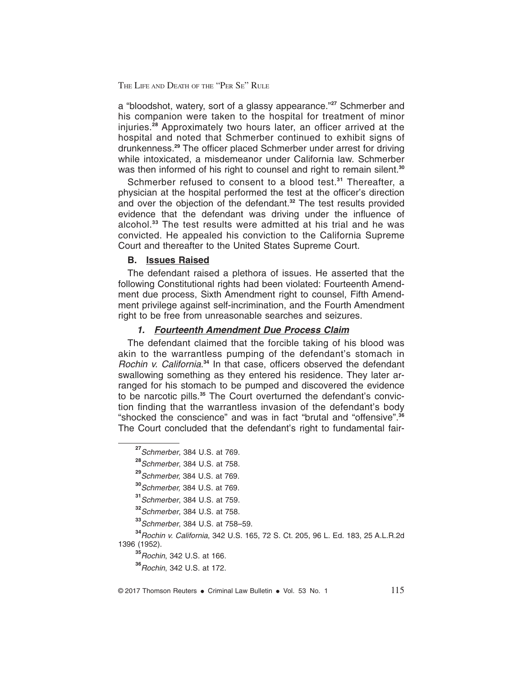a "bloodshot, watery, sort of a glassy appearance."**<sup>27</sup>** Schmerber and his companion were taken to the hospital for treatment of minor injuries.**<sup>28</sup>** Approximately two hours later, an officer arrived at the hospital and noted that Schmerber continued to exhibit signs of drunkenness.**<sup>29</sup>** The officer placed Schmerber under arrest for driving while intoxicated, a misdemeanor under California law. Schmerber was then informed of his right to counsel and right to remain silent.**<sup>30</sup>**

Schmerber refused to consent to a blood test.**<sup>31</sup>** Thereafter, a physician at the hospital performed the test at the officer's direction and over the objection of the defendant.**<sup>32</sup>** The test results provided evidence that the defendant was driving under the influence of alcohol.**<sup>33</sup>** The test results were admitted at his trial and he was convicted. He appealed his conviction to the California Supreme Court and thereafter to the United States Supreme Court.

#### **B. Issues Raised**

The defendant raised a plethora of issues. He asserted that the following Constitutional rights had been violated: Fourteenth Amendment due process, Sixth Amendment right to counsel, Fifth Amendment privilege against self-incrimination, and the Fourth Amendment right to be free from unreasonable searches and seizures.

#### **1. Fourteenth Amendment Due Process Claim**

The defendant claimed that the forcible taking of his blood was akin to the warrantless pumping of the defendant's stomach in Rochin v. California. **<sup>34</sup>** In that case, officers observed the defendant swallowing something as they entered his residence. They later arranged for his stomach to be pumped and discovered the evidence to be narcotic pills.**<sup>35</sup>** The Court overturned the defendant's conviction finding that the warrantless invasion of the defendant's body "shocked the conscience" and was in fact "brutal and "offensive".**<sup>36</sup>** The Court concluded that the defendant's right to fundamental fair-

**<sup>34</sup>**Rochin v. California, 342 U.S. 165, 72 S. Ct. 205, 96 L. Ed. 183, 25 A.L.R.2d 1396 (1952).

**<sup>35</sup>**Rochin, 342 U.S. at 166.

**<sup>36</sup>**Rochin, 342 U.S. at 172.

**<sup>27</sup>**Schmerber, 384 U.S. at 769.

**<sup>28</sup>**Schmerber, 384 U.S. at 758.

**<sup>29</sup>**Schmerber, 384 U.S. at 769.

**<sup>30</sup>**Schmerber, 384 U.S. at 769.

**<sup>31</sup>**Schmerber, 384 U.S. at 759.

**<sup>32</sup>**Schmerber, 384 U.S. at 758.

**<sup>33</sup>**Schmerber, 384 U.S. at 758–59.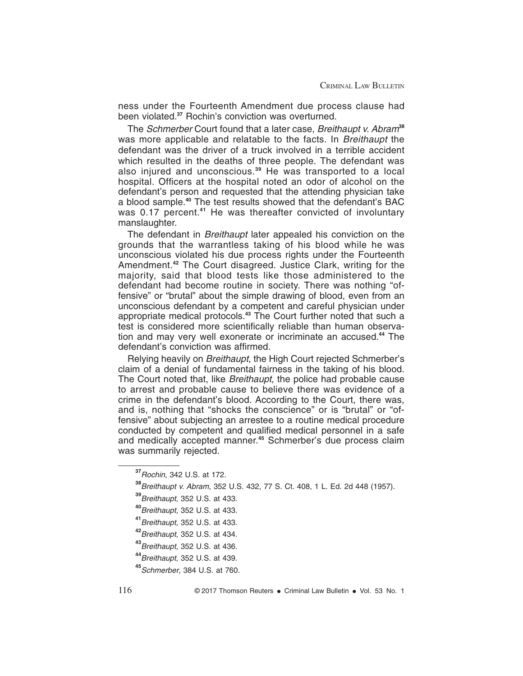ness under the Fourteenth Amendment due process clause had been violated.**<sup>37</sup>** Rochin's conviction was overturned.

The Schmerber Court found that a later case, Breithaupt v. Abram**<sup>38</sup>** was more applicable and relatable to the facts. In Breithaupt the defendant was the driver of a truck involved in a terrible accident which resulted in the deaths of three people. The defendant was also injured and unconscious.**<sup>39</sup>** He was transported to a local hospital. Officers at the hospital noted an odor of alcohol on the defendant's person and requested that the attending physician take a blood sample.**<sup>40</sup>** The test results showed that the defendant's BAC was 0.17 percent.<sup>41</sup> He was thereafter convicted of involuntary manslaughter.

The defendant in *Breithaupt* later appealed his conviction on the grounds that the warrantless taking of his blood while he was unconscious violated his due process rights under the Fourteenth Amendment.**<sup>42</sup>** The Court disagreed. Justice Clark, writing for the majority, said that blood tests like those administered to the defendant had become routine in society. There was nothing "offensive" or "brutal" about the simple drawing of blood, even from an unconscious defendant by a competent and careful physician under appropriate medical protocols.**<sup>43</sup>** The Court further noted that such a test is considered more scientifically reliable than human observation and may very well exonerate or incriminate an accused.**<sup>44</sup>** The defendant's conviction was affirmed.

Relying heavily on Breithaupt, the High Court rejected Schmerber's claim of a denial of fundamental fairness in the taking of his blood. The Court noted that, like Breithaupt, the police had probable cause to arrest and probable cause to believe there was evidence of a crime in the defendant's blood. According to the Court, there was, and is, nothing that "shocks the conscience" or is "brutal" or "offensive" about subjecting an arrestee to a routine medical procedure conducted by competent and qualified medical personnel in a safe and medically accepted manner.**<sup>45</sup>** Schmerber's due process claim was summarily rejected.

**<sup>37</sup>**Rochin, 342 U.S. at 172.

**<sup>38</sup>**Breithaupt v. Abram, 352 U.S. 432, 77 S. Ct. 408, 1 L. Ed. 2d 448 (1957).

**<sup>39</sup>**Breithaupt, 352 U.S. at 433.

**<sup>40</sup>**Breithaupt, 352 U.S. at 433.

**<sup>41</sup>**Breithaupt, 352 U.S. at 433.

**<sup>42</sup>**Breithaupt, 352 U.S. at 434.

**<sup>43</sup>**Breithaupt, 352 U.S. at 436.

**<sup>44</sup>**Breithaupt, 352 U.S. at 439.

**<sup>45</sup>**Schmerber, 384 U.S. at 760.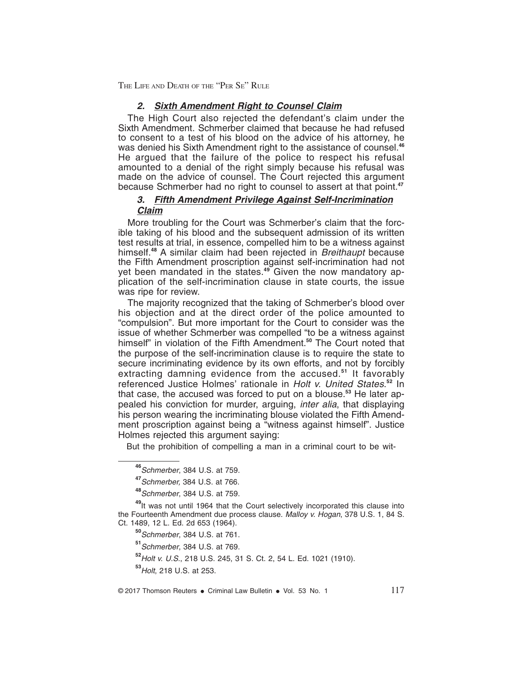#### **2. Sixth Amendment Right to Counsel Claim**

The High Court also rejected the defendant's claim under the Sixth Amendment. Schmerber claimed that because he had refused to consent to a test of his blood on the advice of his attorney, he was denied his Sixth Amendment right to the assistance of counsel.**<sup>46</sup>** He argued that the failure of the police to respect his refusal amounted to a denial of the right simply because his refusal was made on the advice of counsel. The Court rejected this argument because Schmerber had no right to counsel to assert at that point.**<sup>47</sup>**

#### **3. Fifth Amendment Privilege Against Self-Incrimination Claim**

More troubling for the Court was Schmerber's claim that the forcible taking of his blood and the subsequent admission of its written test results at trial, in essence, compelled him to be a witness against himself.**<sup>48</sup>** A similar claim had been rejected in Breithaupt because the Fifth Amendment proscription against self-incrimination had not yet been mandated in the states.**<sup>49</sup>** Given the now mandatory application of the self-incrimination clause in state courts, the issue was ripe for review.

The majority recognized that the taking of Schmerber's blood over his objection and at the direct order of the police amounted to "compulsion". But more important for the Court to consider was the issue of whether Schmerber was compelled "to be a witness against himself" in violation of the Fifth Amendment.**<sup>50</sup>** The Court noted that the purpose of the self-incrimination clause is to require the state to secure incriminating evidence by its own efforts, and not by forcibly extracting damning evidence from the accused.**<sup>51</sup>** It favorably referenced Justice Holmes' rationale in Holt v. United States. **<sup>52</sup>** In that case, the accused was forced to put on a blouse.**<sup>53</sup>** He later appealed his conviction for murder, arguing, *inter alia*, that displaying his person wearing the incriminating blouse violated the Fifth Amendment proscription against being a "witness against himself". Justice Holmes rejected this argument saying:

But the prohibition of compelling a man in a criminal court to be wit-

**<sup>46</sup>**Schmerber, 384 U.S. at 759.

**<sup>47</sup>**Schmerber, 384 U.S. at 766.

**<sup>48</sup>**Schmerber, 384 U.S. at 759.

**<sup>49</sup>**It was not until 1964 that the Court selectively incorporated this clause into the Fourteenth Amendment due process clause. Malloy v. Hogan, 378 U.S. 1, 84 S. Ct. 1489, 12 L. Ed. 2d 653 (1964).

**<sup>50</sup>**Schmerber, 384 U.S. at 761.

**<sup>51</sup>**Schmerber, 384 U.S. at 769.

**<sup>52</sup>**Holt v. U.S., 218 U.S. 245, 31 S. Ct. 2, 54 L. Ed. 1021 (1910).

**<sup>53</sup>**Holt, 218 U.S. at 253.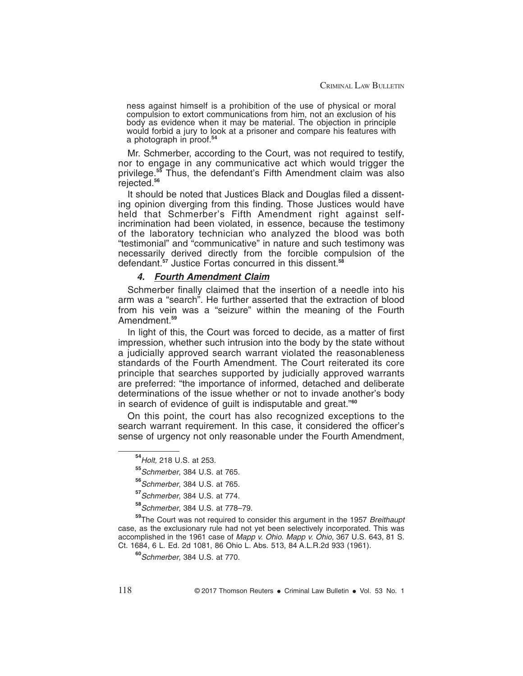ness against himself is a prohibition of the use of physical or moral compulsion to extort communications from him, not an exclusion of his body as evidence when it may be material. The objection in principle would forbid a jury to look at a prisoner and compare his features with a photograph in proof.**<sup>54</sup>**

Mr. Schmerber, according to the Court, was not required to testify, nor to engage in any communicative act which would trigger the privilege.**<sup>55</sup>** Thus, the defendant's Fifth Amendment claim was also rejected.**<sup>56</sup>**

It should be noted that Justices Black and Douglas filed a dissenting opinion diverging from this finding. Those Justices would have held that Schmerber's Fifth Amendment right against selfincrimination had been violated, in essence, because the testimony of the laboratory technician who analyzed the blood was both "testimonial" and "communicative" in nature and such testimony was necessarily derived directly from the forcible compulsion of the defendant.**<sup>57</sup>** Justice Fortas concurred in this dissent.**<sup>58</sup>**

#### **4. Fourth Amendment Claim**

Schmerber finally claimed that the insertion of a needle into his arm was a "search". He further asserted that the extraction of blood from his vein was a "seizure" within the meaning of the Fourth Amendment.**<sup>59</sup>**

In light of this, the Court was forced to decide, as a matter of first impression, whether such intrusion into the body by the state without a judicially approved search warrant violated the reasonableness standards of the Fourth Amendment. The Court reiterated its core principle that searches supported by judicially approved warrants are preferred: "the importance of informed, detached and deliberate determinations of the issue whether or not to invade another's body in search of evidence of guilt is indisputable and great."**<sup>60</sup>**

On this point, the court has also recognized exceptions to the search warrant requirement. In this case, it considered the officer's sense of urgency not only reasonable under the Fourth Amendment,

**<sup>54</sup>**Holt, 218 U.S. at 253.

**<sup>55</sup>**Schmerber, 384 U.S. at 765.

**<sup>56</sup>**Schmerber, 384 U.S. at 765.

**<sup>57</sup>**Schmerber, 384 U.S. at 774.

**<sup>58</sup>**Schmerber, 384 U.S. at 778–79.

<sup>&</sup>lt;sup>59</sup>The Court was not required to consider this argument in the 1957 Breithaupt case, as the exclusionary rule had not yet been selectively incorporated. This was accomplished in the 1961 case of Mapp v. Ohio. Mapp v. Ohio, 367 U.S. 643, 81 S. Ct. 1684, 6 L. Ed. 2d 1081, 86 Ohio L. Abs. 513, 84 A.L.R.2d 933 (1961).

**<sup>60</sup>**Schmerber, 384 U.S. at 770.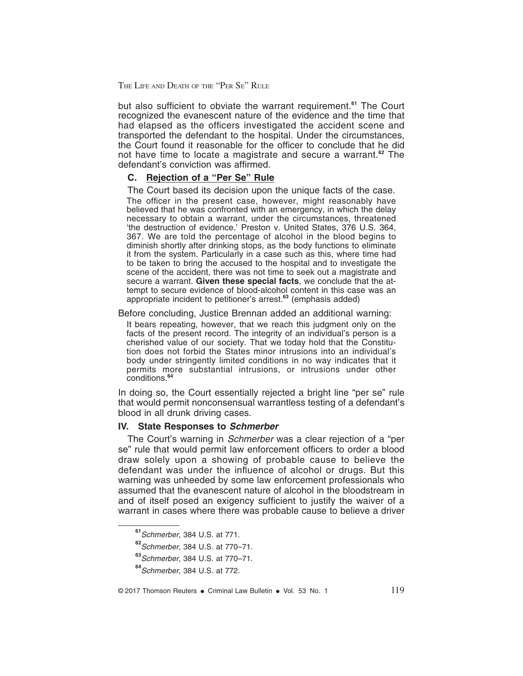but also sufficient to obviate the warrant requirement.**<sup>61</sup>** The Court recognized the evanescent nature of the evidence and the time that had elapsed as the officers investigated the accident scene and transported the defendant to the hospital. Under the circumstances, the Court found it reasonable for the officer to conclude that he did not have time to locate a magistrate and secure a warrant.**<sup>62</sup>** The defendant's conviction was affirmed.

#### **C. Rejection of a "Per Se" Rule**

The Court based its decision upon the unique facts of the case.

The officer in the present case, however, might reasonably have believed that he was confronted with an emergency, in which the delay necessary to obtain a warrant, under the circumstances, threatened 'the destruction of evidence.' Preston v. United States, 376 U.S. 364, 367. We are told the percentage of alcohol in the blood begins to diminish shortly after drinking stops, as the body functions to eliminate it from the system. Particularly in a case such as this, where time had to be taken to bring the accused to the hospital and to investigate the scene of the accident, there was not time to seek out a magistrate and secure a warrant. **Given these special facts**, we conclude that the attempt to secure evidence of blood-alcohol content in this case was an appropriate incident to petitioner's arrest.**<sup>63</sup>** (emphasis added)

Before concluding, Justice Brennan added an additional warning:

It bears repeating, however, that we reach this judgment only on the facts of the present record. The integrity of an individual's person is a cherished value of our society. That we today hold that the Constitution does not forbid the States minor intrusions into an individual's body under stringently limited conditions in no way indicates that it permits more substantial intrusions, or intrusions under other conditions.**<sup>64</sup>**

In doing so, the Court essentially rejected a bright line "per se" rule that would permit nonconsensual warrantless testing of a defendant's blood in all drunk driving cases.

#### **IV. State Responses to Schmerber**

The Court's warning in Schmerber was a clear rejection of a "per se" rule that would permit law enforcement officers to order a blood draw solely upon a showing of probable cause to believe the defendant was under the influence of alcohol or drugs. But this warning was unheeded by some law enforcement professionals who assumed that the evanescent nature of alcohol in the bloodstream in and of itself posed an exigency sufficient to justify the waiver of a warrant in cases where there was probable cause to believe a driver

**<sup>61</sup>**Schmerber, 384 U.S. at 771.

**<sup>62</sup>**Schmerber, 384 U.S. at 770–71.

**<sup>63</sup>**Schmerber, 384 U.S. at 770–71.

**<sup>64</sup>**Schmerber, 384 U.S. at 772.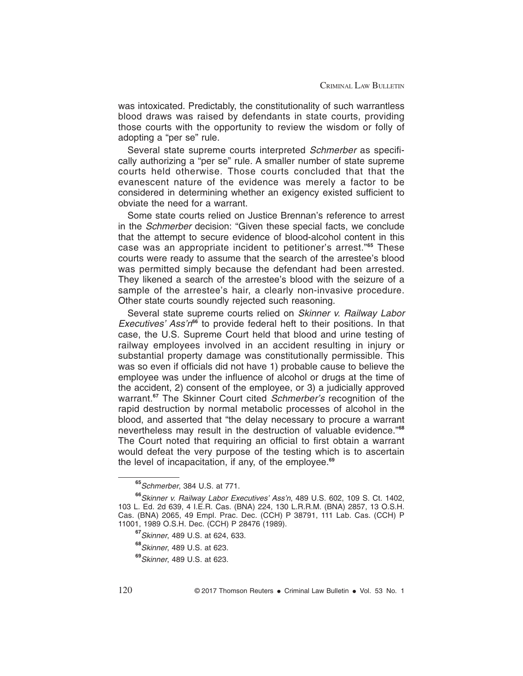was intoxicated. Predictably, the constitutionality of such warrantless blood draws was raised by defendants in state courts, providing those courts with the opportunity to review the wisdom or folly of adopting a "per se" rule.

Several state supreme courts interpreted Schmerber as specifically authorizing a "per se" rule. A smaller number of state supreme courts held otherwise. Those courts concluded that that the evanescent nature of the evidence was merely a factor to be considered in determining whether an exigency existed sufficient to obviate the need for a warrant.

Some state courts relied on Justice Brennan's reference to arrest in the Schmerber decision: "Given these special facts, we conclude that the attempt to secure evidence of blood-alcohol content in this case was an appropriate incident to petitioner's arrest."**<sup>65</sup>** These courts were ready to assume that the search of the arrestee's blood was permitted simply because the defendant had been arrested. They likened a search of the arrestee's blood with the seizure of a sample of the arrestee's hair, a clearly non-invasive procedure. Other state courts soundly rejected such reasoning.

Several state supreme courts relied on Skinner v. Railway Labor Executives' Ass'n**<sup>66</sup>** to provide federal heft to their positions. In that case, the U.S. Supreme Court held that blood and urine testing of railway employees involved in an accident resulting in injury or substantial property damage was constitutionally permissible. This was so even if officials did not have 1) probable cause to believe the employee was under the influence of alcohol or drugs at the time of the accident, 2) consent of the employee, or 3) a judicially approved warrant.**<sup>67</sup>** The Skinner Court cited Schmerber's recognition of the rapid destruction by normal metabolic processes of alcohol in the blood, and asserted that "the delay necessary to procure a warrant nevertheless may result in the destruction of valuable evidence."**<sup>68</sup>** The Court noted that requiring an official to first obtain a warrant would defeat the very purpose of the testing which is to ascertain the level of incapacitation, if any, of the employee.**<sup>69</sup>**

**<sup>65</sup>**Schmerber, 384 U.S. at 771.

**<sup>66</sup>**Skinner v. Railway Labor Executives' Ass'n, 489 U.S. 602, 109 S. Ct. 1402, 103 L. Ed. 2d 639, 4 I.E.R. Cas. (BNA) 224, 130 L.R.R.M. (BNA) 2857, 13 O.S.H. Cas. (BNA) 2065, 49 Empl. Prac. Dec. (CCH) P 38791, 111 Lab. Cas. (CCH) P 11001, 1989 O.S.H. Dec. (CCH) P 28476 (1989).

**<sup>67</sup>**Skinner, 489 U.S. at 624, 633.

**<sup>68</sup>**Skinner, 489 U.S. at 623.

**<sup>69</sup>**Skinner, 489 U.S. at 623.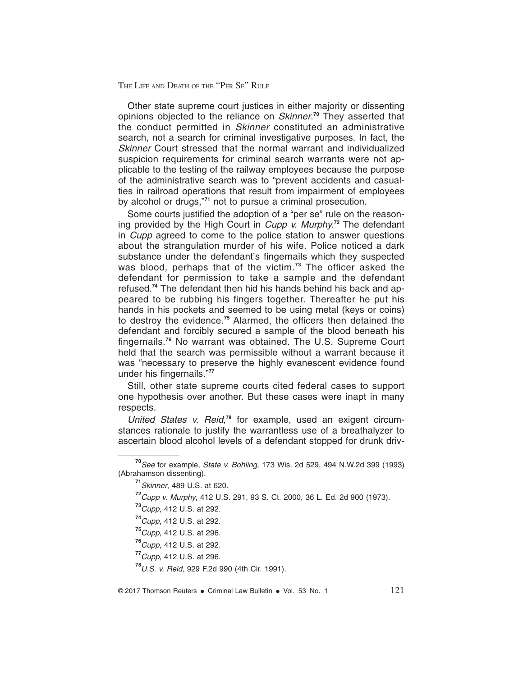Other state supreme court justices in either majority or dissenting opinions objected to the reliance on Skinner. **<sup>70</sup>** They asserted that the conduct permitted in Skinner constituted an administrative search, not a search for criminal investigative purposes. In fact, the Skinner Court stressed that the normal warrant and individualized suspicion requirements for criminal search warrants were not applicable to the testing of the railway employees because the purpose of the administrative search was to "prevent accidents and casualties in railroad operations that result from impairment of employees by alcohol or drugs,"**<sup>71</sup>** not to pursue a criminal prosecution.

Some courts justified the adoption of a "per se" rule on the reasoning provided by the High Court in Cupp v. Murphy.**<sup>72</sup>** The defendant in Cupp agreed to come to the police station to answer questions about the strangulation murder of his wife. Police noticed a dark substance under the defendant's fingernails which they suspected was blood, perhaps that of the victim.**<sup>73</sup>** The officer asked the defendant for permission to take a sample and the defendant refused.**<sup>74</sup>** The defendant then hid his hands behind his back and appeared to be rubbing his fingers together. Thereafter he put his hands in his pockets and seemed to be using metal (keys or coins) to destroy the evidence.**<sup>75</sup>** Alarmed, the officers then detained the defendant and forcibly secured a sample of the blood beneath his fingernails.**<sup>76</sup>** No warrant was obtained. The U.S. Supreme Court held that the search was permissible without a warrant because it was "necessary to preserve the highly evanescent evidence found under his fingernails."**<sup>77</sup>**

Still, other state supreme courts cited federal cases to support one hypothesis over another. But these cases were inapt in many respects.

United States v. Reid,**<sup>78</sup>** for example, used an exigent circumstances rationale to justify the warrantless use of a breathalyzer to ascertain blood alcohol levels of a defendant stopped for drunk driv-

**<sup>70</sup>**See for example, State v. Bohling, 173 Wis. 2d 529, 494 N.W.2d 399 (1993) (Abrahamson dissenting).

**<sup>71</sup>**Skinner, 489 U.S. at 620.

**<sup>72</sup>**Cupp v. Murphy, 412 U.S. 291, 93 S. Ct. 2000, 36 L. Ed. 2d 900 (1973).

**<sup>73</sup>**Cupp, 412 U.S. at 292.

**<sup>74</sup>**Cupp, 412 U.S. at 292.

**<sup>75</sup>**Cupp, 412 U.S. at 296.

**<sup>76</sup>**Cupp, 412 U.S. at 292.

**<sup>77</sup>**Cupp, 412 U.S. at 296.

**<sup>78</sup>**U.S. v. Reid, 929 F.2d 990 (4th Cir. 1991).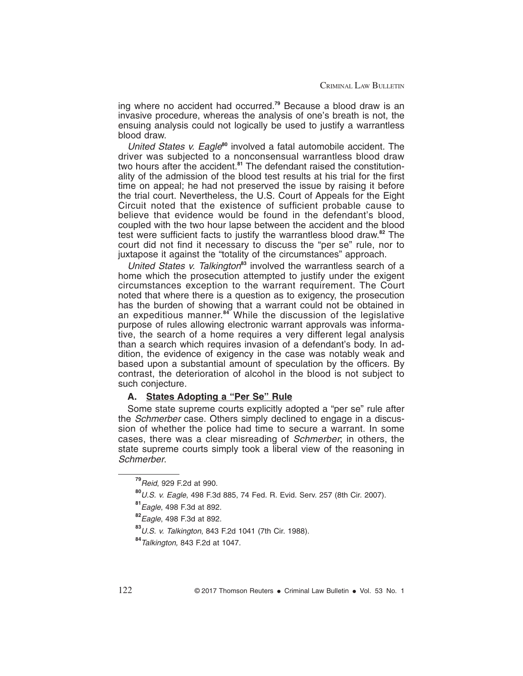ing where no accident had occurred.**<sup>79</sup>** Because a blood draw is an invasive procedure, whereas the analysis of one's breath is not, the ensuing analysis could not logically be used to justify a warrantless blood draw.

United States v. Eagle**<sup>80</sup>** involved a fatal automobile accident. The driver was subjected to a nonconsensual warrantless blood draw two hours after the accident.<sup>81</sup> The defendant raised the constitutionality of the admission of the blood test results at his trial for the first time on appeal; he had not preserved the issue by raising it before the trial court. Nevertheless, the U.S. Court of Appeals for the Eight Circuit noted that the existence of sufficient probable cause to believe that evidence would be found in the defendant's blood, coupled with the two hour lapse between the accident and the blood test were sufficient facts to justify the warrantless blood draw.**<sup>82</sup>** The court did not find it necessary to discuss the "per se" rule, nor to juxtapose it against the "totality of the circumstances" approach.

United States v. Talkington<sup>83</sup> involved the warrantless search of a home which the prosecution attempted to justify under the exigent circumstances exception to the warrant requirement. The Court noted that where there is a question as to exigency, the prosecution has the burden of showing that a warrant could not be obtained in an expeditious manner.**<sup>84</sup>** While the discussion of the legislative purpose of rules allowing electronic warrant approvals was informative, the search of a home requires a very different legal analysis than a search which requires invasion of a defendant's body. In addition, the evidence of exigency in the case was notably weak and based upon a substantial amount of speculation by the officers. By contrast, the deterioration of alcohol in the blood is not subject to such conjecture.

#### **A. States Adopting a "Per Se" Rule**

Some state supreme courts explicitly adopted a "per se" rule after the *Schmerber* case. Others simply declined to engage in a discussion of whether the police had time to secure a warrant. In some cases, there was a clear misreading of Schmerber; in others, the state supreme courts simply took a liberal view of the reasoning in Schmerber.

**<sup>79</sup>**Reid, 929 F.2d at 990.

**<sup>80</sup>**U.S. v. Eagle, 498 F.3d 885, 74 Fed. R. Evid. Serv. 257 (8th Cir. 2007).

**<sup>81</sup>**Eagle, 498 F.3d at 892.

**<sup>82</sup>**Eagle, 498 F.3d at 892.

**<sup>83</sup>**U.S. v. Talkington, 843 F.2d 1041 (7th Cir. 1988).

**<sup>84</sup>**Talkington, 843 F.2d at 1047.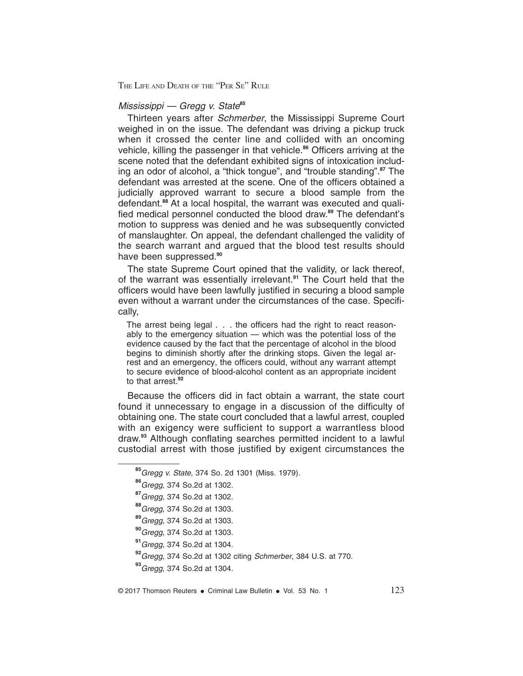#### Mississippi — Gregg v. State**<sup>85</sup>**

Thirteen years after Schmerber, the Mississippi Supreme Court weighed in on the issue. The defendant was driving a pickup truck when it crossed the center line and collided with an oncoming vehicle, killing the passenger in that vehicle.**<sup>86</sup>** Officers arriving at the scene noted that the defendant exhibited signs of intoxication including an odor of alcohol, a "thick tongue", and "trouble standing".**<sup>87</sup>** The defendant was arrested at the scene. One of the officers obtained a judicially approved warrant to secure a blood sample from the defendant.**<sup>88</sup>** At a local hospital, the warrant was executed and qualified medical personnel conducted the blood draw.**<sup>89</sup>** The defendant's motion to suppress was denied and he was subsequently convicted of manslaughter. On appeal, the defendant challenged the validity of the search warrant and argued that the blood test results should have been suppressed.**<sup>90</sup>**

The state Supreme Court opined that the validity, or lack thereof, of the warrant was essentially irrelevant.**<sup>91</sup>** The Court held that the officers would have been lawfully justified in securing a blood sample even without a warrant under the circumstances of the case. Specifically,

The arrest being legal . . . the officers had the right to react reasonably to the emergency situation — which was the potential loss of the evidence caused by the fact that the percentage of alcohol in the blood begins to diminish shortly after the drinking stops. Given the legal arrest and an emergency, the officers could, without any warrant attempt to secure evidence of blood-alcohol content as an appropriate incident to that arrest.**<sup>92</sup>**

Because the officers did in fact obtain a warrant, the state court found it unnecessary to engage in a discussion of the difficulty of obtaining one. The state court concluded that a lawful arrest, coupled with an exigency were sufficient to support a warrantless blood draw.**<sup>93</sup>** Although conflating searches permitted incident to a lawful custodial arrest with those justified by exigent circumstances the

**<sup>85</sup>**Gregg v. State, 374 So. 2d 1301 (Miss. 1979).

**<sup>86</sup>**Gregg, 374 So.2d at 1302.

**<sup>87</sup>**Gregg, 374 So.2d at 1302.

**<sup>88</sup>**Gregg, 374 So.2d at 1303.

**<sup>89</sup>**Gregg, 374 So.2d at 1303.

**<sup>90</sup>**Gregg, 374 So.2d at 1303.

**<sup>91</sup>**Gregg, 374 So.2d at 1304.

**<sup>92</sup>**Gregg, 374 So.2d at 1302 citing Schmerber, 384 U.S. at 770.

**<sup>93</sup>**Gregg, 374 So.2d at 1304.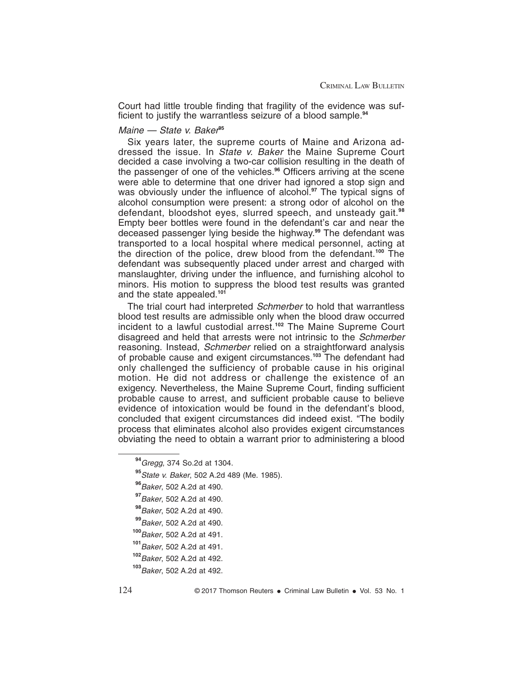Court had little trouble finding that fragility of the evidence was sufficient to justify the warrantless seizure of a blood sample.**<sup>94</sup>**

#### Maine — State v. Baker**<sup>95</sup>**

Six years later, the supreme courts of Maine and Arizona addressed the issue. In State v. Baker the Maine Supreme Court decided a case involving a two-car collision resulting in the death of the passenger of one of the vehicles.**<sup>96</sup>** Officers arriving at the scene were able to determine that one driver had ignored a stop sign and was obviously under the influence of alcohol.**<sup>97</sup>** The typical signs of alcohol consumption were present: a strong odor of alcohol on the defendant, bloodshot eyes, slurred speech, and unsteady gait.**<sup>98</sup>** Empty beer bottles were found in the defendant's car and near the deceased passenger lying beside the highway.**<sup>99</sup>** The defendant was transported to a local hospital where medical personnel, acting at the direction of the police, drew blood from the defendant.**<sup>100</sup>** The defendant was subsequently placed under arrest and charged with manslaughter, driving under the influence, and furnishing alcohol to minors. His motion to suppress the blood test results was granted and the state appealed.**<sup>101</sup>**

The trial court had interpreted Schmerber to hold that warrantless blood test results are admissible only when the blood draw occurred incident to a lawful custodial arrest.**<sup>102</sup>** The Maine Supreme Court disagreed and held that arrests were not intrinsic to the Schmerber reasoning. Instead, Schmerber relied on a straightforward analysis of probable cause and exigent circumstances.**<sup>103</sup>** The defendant had only challenged the sufficiency of probable cause in his original motion. He did not address or challenge the existence of an exigency. Nevertheless, the Maine Supreme Court, finding sufficient probable cause to arrest, and sufficient probable cause to believe evidence of intoxication would be found in the defendant's blood, concluded that exigent circumstances did indeed exist. "The bodily process that eliminates alcohol also provides exigent circumstances obviating the need to obtain a warrant prior to administering a blood

**<sup>94</sup>**Gregg, 374 So.2d at 1304.

**<sup>95</sup>**State v. Baker, 502 A.2d 489 (Me. 1985).

**<sup>96</sup>**Baker, 502 A.2d at 490.

**<sup>97</sup>**Baker, 502 A.2d at 490.

**<sup>98</sup>**Baker, 502 A.2d at 490.

**<sup>99</sup>**Baker, 502 A.2d at 490.

**<sup>100</sup>**Baker, 502 A.2d at 491.

**<sup>101</sup>**Baker, 502 A.2d at 491.

**<sup>102</sup>**Baker, 502 A.2d at 492.

**<sup>103</sup>**Baker, 502 A.2d at 492.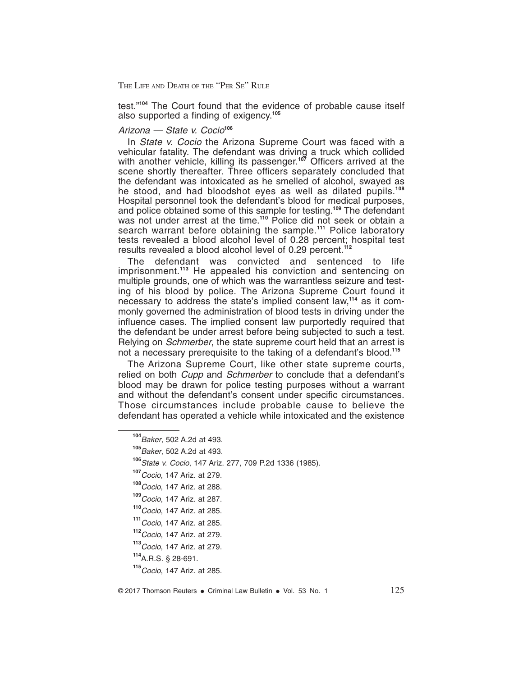test."**<sup>104</sup>** The Court found that the evidence of probable cause itself also supported a finding of exigency.**<sup>105</sup>**

#### Arizona — State v. Cocio**<sup>106</sup>**

In State v. Cocio the Arizona Supreme Court was faced with a vehicular fatality. The defendant was driving a truck which collided with another vehicle, killing its passenger.**<sup>107</sup>** Officers arrived at the scene shortly thereafter. Three officers separately concluded that the defendant was intoxicated as he smelled of alcohol, swayed as he stood, and had bloodshot eyes as well as dilated pupils.**<sup>108</sup>** Hospital personnel took the defendant's blood for medical purposes, and police obtained some of this sample for testing.**<sup>109</sup>** The defendant was not under arrest at the time.<sup>110</sup> Police did not seek or obtain a search warrant before obtaining the sample.**<sup>111</sup>** Police laboratory tests revealed a blood alcohol level of 0.28 percent; hospital test results revealed a blood alcohol level of 0.29 percent.**<sup>112</sup>**

The defendant was convicted and sentenced to life imprisonment.**<sup>113</sup>** He appealed his conviction and sentencing on multiple grounds, one of which was the warrantless seizure and testing of his blood by police. The Arizona Supreme Court found it necessary to address the state's implied consent law,**<sup>114</sup>** as it commonly governed the administration of blood tests in driving under the influence cases. The implied consent law purportedly required that the defendant be under arrest before being subjected to such a test. Relying on *Schmerber*, the state supreme court held that an arrest is not a necessary prerequisite to the taking of a defendant's blood.**<sup>115</sup>**

The Arizona Supreme Court, like other state supreme courts, relied on both *Cupp* and *Schmerber* to conclude that a defendant's blood may be drawn for police testing purposes without a warrant and without the defendant's consent under specific circumstances. Those circumstances include probable cause to believe the defendant has operated a vehicle while intoxicated and the existence

**<sup>104</sup>**Baker, 502 A.2d at 493.

**<sup>105</sup>**Baker, 502 A.2d at 493.

**<sup>106</sup>**State v. Cocio, 147 Ariz. 277, 709 P.2d 1336 (1985).

**<sup>107</sup>**Cocio, 147 Ariz. at 279.

**<sup>108</sup>**Cocio, 147 Ariz. at 288.

**<sup>109</sup>**Cocio, 147 Ariz. at 287.

**<sup>110</sup>**Cocio, 147 Ariz. at 285.

**<sup>111</sup>**Cocio, 147 Ariz. at 285.

**<sup>112</sup>**Cocio, 147 Ariz. at 279.

**<sup>113</sup>**Cocio, 147 Ariz. at 279.

**<sup>114</sup>**A.R.S. § 28-691.

**<sup>115</sup>**Cocio, 147 Ariz. at 285.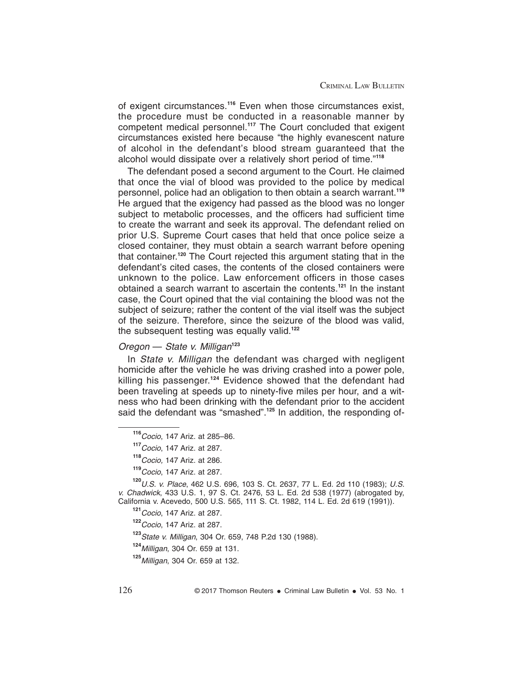of exigent circumstances.**<sup>116</sup>** Even when those circumstances exist, the procedure must be conducted in a reasonable manner by competent medical personnel.**<sup>117</sup>** The Court concluded that exigent circumstances existed here because "the highly evanescent nature of alcohol in the defendant's blood stream guaranteed that the alcohol would dissipate over a relatively short period of time."**<sup>118</sup>**

The defendant posed a second argument to the Court. He claimed that once the vial of blood was provided to the police by medical personnel, police had an obligation to then obtain a search warrant.**<sup>119</sup>** He argued that the exigency had passed as the blood was no longer subject to metabolic processes, and the officers had sufficient time to create the warrant and seek its approval. The defendant relied on prior U.S. Supreme Court cases that held that once police seize a closed container, they must obtain a search warrant before opening that container.**<sup>120</sup>** The Court rejected this argument stating that in the defendant's cited cases, the contents of the closed containers were unknown to the police. Law enforcement officers in those cases obtained a search warrant to ascertain the contents.**<sup>121</sup>** In the instant case, the Court opined that the vial containing the blood was not the subject of seizure; rather the content of the vial itself was the subject of the seizure. Therefore, since the seizure of the blood was valid, the subsequent testing was equally valid.**<sup>122</sup>**

### Oregon — State v. Milligan**<sup>123</sup>**

In State v. Milligan the defendant was charged with negligent homicide after the vehicle he was driving crashed into a power pole, killing his passenger.**<sup>124</sup>** Evidence showed that the defendant had been traveling at speeds up to ninety-five miles per hour, and a witness who had been drinking with the defendant prior to the accident said the defendant was "smashed".**<sup>125</sup>** In addition, the responding of-

**<sup>120</sup>**U.S. v. Place, 462 U.S. 696, 103 S. Ct. 2637, 77 L. Ed. 2d 110 (1983); U.S. v. Chadwick, 433 U.S. 1, 97 S. Ct. 2476, 53 L. Ed. 2d 538 (1977) (abrogated by, California v. Acevedo, 500 U.S. 565, 111 S. Ct. 1982, 114 L. Ed. 2d 619 (1991)).

**<sup>123</sup>**State v. Milligan, 304 Or. 659, 748 P.2d 130 (1988).

**<sup>124</sup>**Milligan, 304 Or. 659 at 131.

**<sup>116</sup>**Cocio, 147 Ariz. at 285–86.

**<sup>117</sup>**Cocio, 147 Ariz. at 287.

**<sup>118</sup>**Cocio, 147 Ariz. at 286.

**<sup>119</sup>**Cocio, 147 Ariz. at 287.

**<sup>121</sup>**Cocio, 147 Ariz. at 287.

**<sup>122</sup>**Cocio, 147 Ariz. at 287.

**<sup>125</sup>**Milligan, 304 Or. 659 at 132.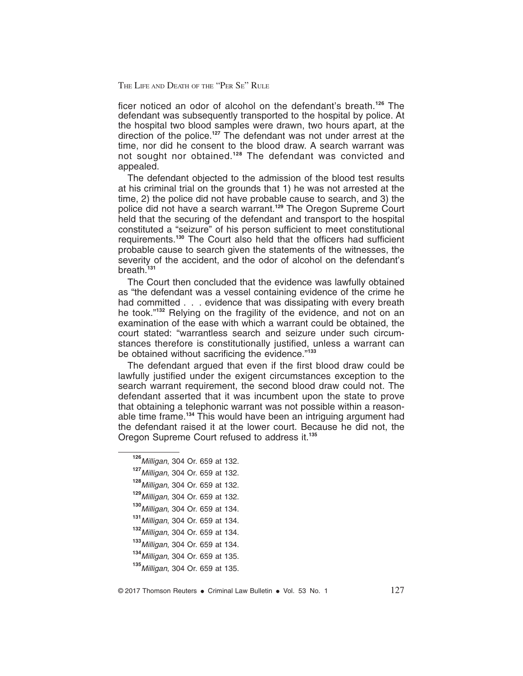ficer noticed an odor of alcohol on the defendant's breath.**<sup>126</sup>** The defendant was subsequently transported to the hospital by police. At the hospital two blood samples were drawn, two hours apart, at the direction of the police.**<sup>127</sup>** The defendant was not under arrest at the time, nor did he consent to the blood draw. A search warrant was not sought nor obtained.**<sup>128</sup>** The defendant was convicted and appealed.

The defendant objected to the admission of the blood test results at his criminal trial on the grounds that 1) he was not arrested at the time, 2) the police did not have probable cause to search, and 3) the police did not have a search warrant.**<sup>129</sup>** The Oregon Supreme Court held that the securing of the defendant and transport to the hospital constituted a "seizure" of his person sufficient to meet constitutional requirements.**<sup>130</sup>** The Court also held that the officers had sufficient probable cause to search given the statements of the witnesses, the severity of the accident, and the odor of alcohol on the defendant's breath.**<sup>131</sup>**

The Court then concluded that the evidence was lawfully obtained as "the defendant was a vessel containing evidence of the crime he had committed . . . evidence that was dissipating with every breath he took."**<sup>132</sup>** Relying on the fragility of the evidence, and not on an examination of the ease with which a warrant could be obtained, the court stated: "warrantless search and seizure under such circumstances therefore is constitutionally justified, unless a warrant can be obtained without sacrificing the evidence."**<sup>133</sup>**

The defendant argued that even if the first blood draw could be lawfully justified under the exigent circumstances exception to the search warrant requirement, the second blood draw could not. The defendant asserted that it was incumbent upon the state to prove that obtaining a telephonic warrant was not possible within a reasonable time frame.**<sup>134</sup>** This would have been an intriguing argument had the defendant raised it at the lower court. Because he did not, the Oregon Supreme Court refused to address it.**<sup>135</sup>**

Milligan, 304 Or. 659 at 132. Milligan, 304 Or. 659 at 132. Milligan, 304 Or. 659 at 132. Milligan, 304 Or. 659 at 132. Milligan, 304 Or. 659 at 134. Milligan, 304 Or. 659 at 134. Milligan, 304 Or. 659 at 134. Milligan, 304 Or. 659 at 134. Milligan, 304 Or. 659 at 135. Milligan, 304 Or. 659 at 135.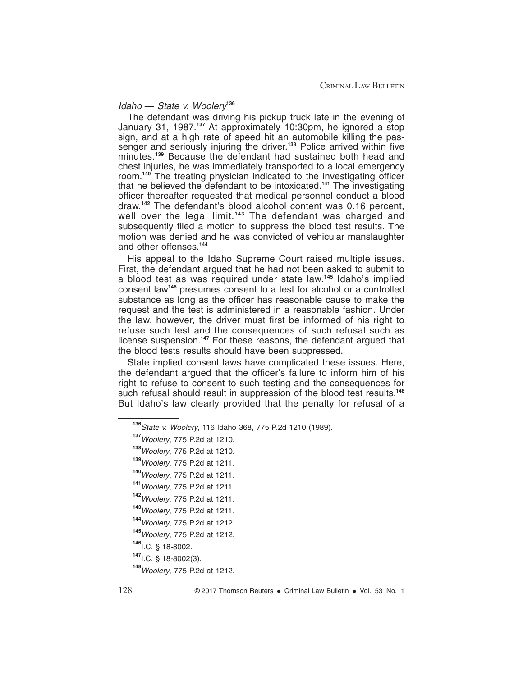#### Idaho — State v. Woolery**<sup>136</sup>**

The defendant was driving his pickup truck late in the evening of January 31, 1987.**<sup>137</sup>** At approximately 10:30pm, he ignored a stop sign, and at a high rate of speed hit an automobile killing the passenger and seriously injuring the driver.**<sup>138</sup>** Police arrived within five minutes.**<sup>139</sup>** Because the defendant had sustained both head and chest injuries, he was immediately transported to a local emergency room.**<sup>140</sup>** The treating physician indicated to the investigating officer that he believed the defendant to be intoxicated.**<sup>141</sup>** The investigating officer thereafter requested that medical personnel conduct a blood draw.**<sup>142</sup>** The defendant's blood alcohol content was 0.16 percent, well over the legal limit.**<sup>143</sup>** The defendant was charged and subsequently filed a motion to suppress the blood test results. The motion was denied and he was convicted of vehicular manslaughter and other offenses.**<sup>144</sup>**

His appeal to the Idaho Supreme Court raised multiple issues. First, the defendant argued that he had not been asked to submit to a blood test as was required under state law.**<sup>145</sup>** Idaho's implied consent law**<sup>146</sup>** presumes consent to a test for alcohol or a controlled substance as long as the officer has reasonable cause to make the request and the test is administered in a reasonable fashion. Under the law, however, the driver must first be informed of his right to refuse such test and the consequences of such refusal such as license suspension.**<sup>147</sup>** For these reasons, the defendant argued that the blood tests results should have been suppressed.

State implied consent laws have complicated these issues. Here, the defendant argued that the officer's failure to inform him of his right to refuse to consent to such testing and the consequences for such refusal should result in suppression of the blood test results.**<sup>148</sup>** But Idaho's law clearly provided that the penalty for refusal of a

**<sup>136</sup>**State v. Woolery, 116 Idaho 368, 775 P.2d 1210 (1989).

**<sup>137</sup>**Woolery, 775 P.2d at 1210.

**<sup>138</sup>**Woolery, 775 P.2d at 1210.

**<sup>139</sup>**Woolery, 775 P.2d at 1211.

**<sup>140</sup>**Woolery, 775 P.2d at 1211.

**<sup>141</sup>**Woolery, 775 P.2d at 1211.

**<sup>142</sup>**Woolery, 775 P.2d at 1211.

**<sup>143</sup>**Woolery, 775 P.2d at 1211.

**<sup>144</sup>**Woolery, 775 P.2d at 1212.

**<sup>145</sup>**Woolery, 775 P.2d at 1212.

**<sup>146</sup>**I.C. § 18-8002.

**<sup>147</sup>**I.C. § 18-8002(3).

**<sup>148</sup>**Woolery, 775 P.2d at 1212.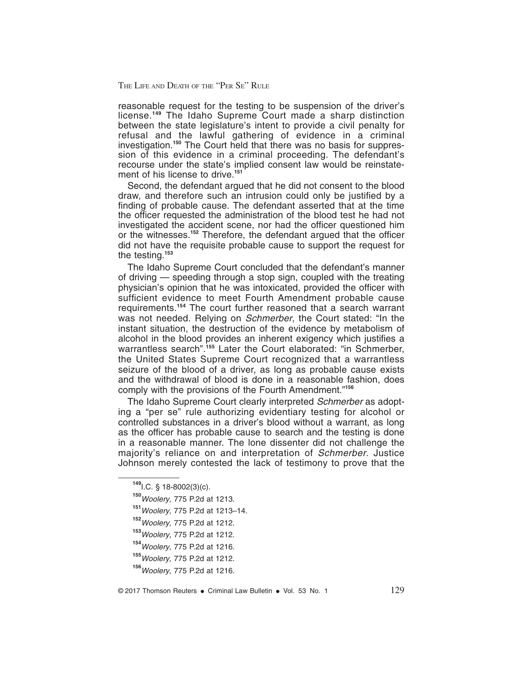reasonable request for the testing to be suspension of the driver's license.**<sup>149</sup>** The Idaho Supreme Court made a sharp distinction between the state legislature's intent to provide a civil penalty for refusal and the lawful gathering of evidence in a criminal investigation.**<sup>150</sup>** The Court held that there was no basis for suppression of this evidence in a criminal proceeding. The defendant's recourse under the state's implied consent law would be reinstatement of his license to drive.**<sup>151</sup>**

Second, the defendant argued that he did not consent to the blood draw, and therefore such an intrusion could only be justified by a finding of probable cause. The defendant asserted that at the time the officer requested the administration of the blood test he had not investigated the accident scene, nor had the officer questioned him or the witnesses.**<sup>152</sup>** Therefore, the defendant argued that the officer did not have the requisite probable cause to support the request for the testing.**<sup>153</sup>**

The Idaho Supreme Court concluded that the defendant's manner of driving — speeding through a stop sign, coupled with the treating physician's opinion that he was intoxicated, provided the officer with sufficient evidence to meet Fourth Amendment probable cause requirements.**<sup>154</sup>** The court further reasoned that a search warrant was not needed. Relying on *Schmerber*, the Court stated: "In the instant situation, the destruction of the evidence by metabolism of alcohol in the blood provides an inherent exigency which justifies a warrantless search<sup>".155</sup> Later the Court elaborated: "in Schmerber, the United States Supreme Court recognized that a warrantless seizure of the blood of a driver, as long as probable cause exists and the withdrawal of blood is done in a reasonable fashion, does comply with the provisions of the Fourth Amendment."**<sup>156</sup>**

The Idaho Supreme Court clearly interpreted Schmerber as adopting a "per se" rule authorizing evidentiary testing for alcohol or controlled substances in a driver's blood without a warrant, as long as the officer has probable cause to search and the testing is done in a reasonable manner. The lone dissenter did not challenge the majority's reliance on and interpretation of Schmerber. Justice Johnson merely contested the lack of testimony to prove that the

- **<sup>151</sup>**Woolery, 775 P.2d at 1213–14.
- **<sup>152</sup>**Woolery, 775 P.2d at 1212.
- **<sup>153</sup>**Woolery, 775 P.2d at 1212.
- **<sup>154</sup>**Woolery, 775 P.2d at 1216.

**<sup>149</sup>**I.C. § 18-8002(3)(c).

**<sup>150</sup>**Woolery, 775 P.2d at 1213.

**<sup>155</sup>**Woolery, 775 P.2d at 1212.

**<sup>156</sup>**Woolery, 775 P.2d at 1216.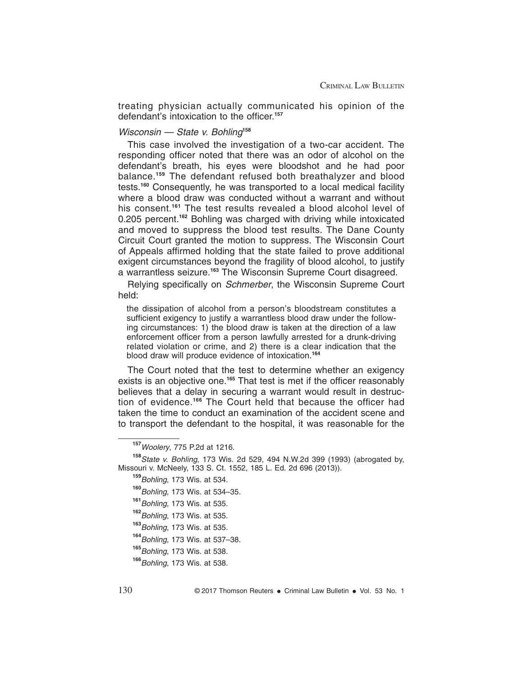treating physician actually communicated his opinion of the defendant's intoxication to the officer.**<sup>157</sup>**

#### Wisconsin — State v. Bohling**<sup>158</sup>**

This case involved the investigation of a two-car accident. The responding officer noted that there was an odor of alcohol on the defendant's breath, his eyes were bloodshot and he had poor balance.**<sup>159</sup>** The defendant refused both breathalyzer and blood tests.**<sup>160</sup>** Consequently, he was transported to a local medical facility where a blood draw was conducted without a warrant and without his consent.**<sup>161</sup>** The test results revealed a blood alcohol level of 0.205 percent.**<sup>162</sup>** Bohling was charged with driving while intoxicated and moved to suppress the blood test results. The Dane County Circuit Court granted the motion to suppress. The Wisconsin Court of Appeals affirmed holding that the state failed to prove additional exigent circumstances beyond the fragility of blood alcohol, to justify a warrantless seizure.**<sup>163</sup>** The Wisconsin Supreme Court disagreed.

Relying specifically on *Schmerber*, the Wisconsin Supreme Court held:

the dissipation of alcohol from a person's bloodstream constitutes a sufficient exigency to justify a warrantless blood draw under the following circumstances: 1) the blood draw is taken at the direction of a law enforcement officer from a person lawfully arrested for a drunk-driving related violation or crime, and 2) there is a clear indication that the blood draw will produce evidence of intoxication.**<sup>164</sup>**

The Court noted that the test to determine whether an exigency exists is an objective one.**<sup>165</sup>** That test is met if the officer reasonably believes that a delay in securing a warrant would result in destruction of evidence.**<sup>166</sup>** The Court held that because the officer had taken the time to conduct an examination of the accident scene and to transport the defendant to the hospital, it was reasonable for the

**<sup>157</sup>**Woolery, 775 P.2d at 1216.

**<sup>158</sup>**State v. Bohling, 173 Wis. 2d 529, 494 N.W.2d 399 (1993) (abrogated by, Missouri v. McNeely, 133 S. Ct. 1552, 185 L. Ed. 2d 696 (2013)).

**<sup>159</sup>**Bohling, 173 Wis. at 534. **<sup>160</sup>**Bohling, 173 Wis. at 534–35. **<sup>161</sup>**Bohling, 173 Wis. at 535. **<sup>162</sup>**Bohling, 173 Wis. at 535. **<sup>163</sup>**Bohling, 173 Wis. at 535. **<sup>164</sup>**Bohling, 173 Wis. at 537–38. **<sup>165</sup>**Bohling, 173 Wis. at 538. **<sup>166</sup>**Bohling, 173 Wis. at 538.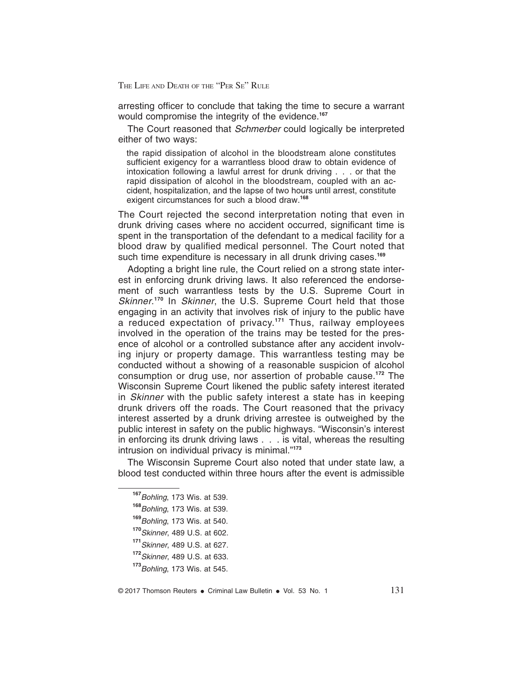arresting officer to conclude that taking the time to secure a warrant would compromise the integrity of the evidence.**<sup>167</sup>**

The Court reasoned that *Schmerber* could logically be interpreted either of two ways:

the rapid dissipation of alcohol in the bloodstream alone constitutes sufficient exigency for a warrantless blood draw to obtain evidence of intoxication following a lawful arrest for drunk driving . . . or that the rapid dissipation of alcohol in the bloodstream, coupled with an accident, hospitalization, and the lapse of two hours until arrest, constitute exigent circumstances for such a blood draw.**<sup>168</sup>**

The Court rejected the second interpretation noting that even in drunk driving cases where no accident occurred, significant time is spent in the transportation of the defendant to a medical facility for a blood draw by qualified medical personnel. The Court noted that such time expenditure is necessary in all drunk driving cases.**<sup>169</sup>**

Adopting a bright line rule, the Court relied on a strong state interest in enforcing drunk driving laws. It also referenced the endorsement of such warrantless tests by the U.S. Supreme Court in Skinner.<sup>170</sup> In Skinner, the U.S. Supreme Court held that those engaging in an activity that involves risk of injury to the public have a reduced expectation of privacy.**<sup>171</sup>** Thus, railway employees involved in the operation of the trains may be tested for the presence of alcohol or a controlled substance after any accident involving injury or property damage. This warrantless testing may be conducted without a showing of a reasonable suspicion of alcohol consumption or drug use, nor assertion of probable cause.**<sup>172</sup>** The Wisconsin Supreme Court likened the public safety interest iterated in *Skinner* with the public safety interest a state has in keeping drunk drivers off the roads. The Court reasoned that the privacy interest asserted by a drunk driving arrestee is outweighed by the public interest in safety on the public highways. "Wisconsin's interest in enforcing its drunk driving laws . . . is vital, whereas the resulting intrusion on individual privacy is minimal."**<sup>173</sup>**

The Wisconsin Supreme Court also noted that under state law, a blood test conducted within three hours after the event is admissible

**<sup>167</sup>**Bohling, 173 Wis. at 539.

**<sup>168</sup>**Bohling, 173 Wis. at 539.

**<sup>169</sup>**Bohling, 173 Wis. at 540.

**<sup>170</sup>**Skinner, 489 U.S. at 602.

**<sup>171</sup>**Skinner, 489 U.S. at 627.

**<sup>172</sup>**Skinner, 489 U.S. at 633.

**<sup>173</sup>**Bohling, 173 Wis. at 545.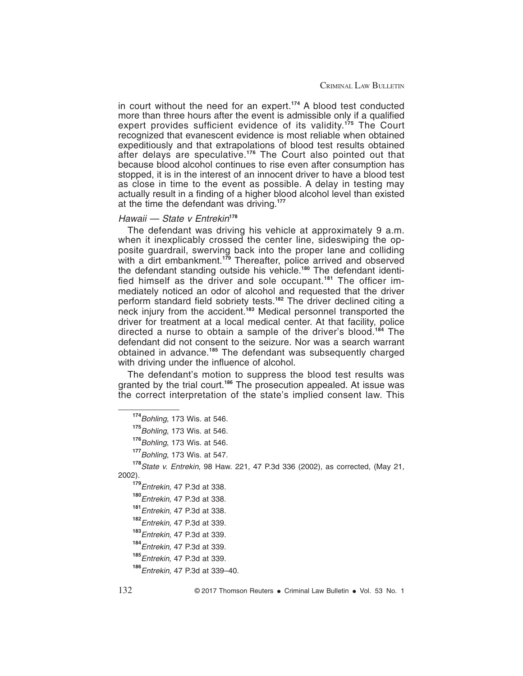in court without the need for an expert.**<sup>174</sup>** A blood test conducted more than three hours after the event is admissible only if a qualified expert provides sufficient evidence of its validity.**<sup>175</sup>** The Court recognized that evanescent evidence is most reliable when obtained expeditiously and that extrapolations of blood test results obtained after delays are speculative.**<sup>176</sup>** The Court also pointed out that because blood alcohol continues to rise even after consumption has stopped, it is in the interest of an innocent driver to have a blood test as close in time to the event as possible. A delay in testing may actually result in a finding of a higher blood alcohol level than existed at the time the defendant was driving.**<sup>177</sup>**

#### Hawaii — State v Entrekin**<sup>178</sup>**

The defendant was driving his vehicle at approximately 9 a.m. when it inexplicably crossed the center line, sideswiping the opposite guardrail, swerving back into the proper lane and colliding with a dirt embankment.**<sup>179</sup>** Thereafter, police arrived and observed the defendant standing outside his vehicle.**<sup>180</sup>** The defendant identified himself as the driver and sole occupant.**<sup>181</sup>** The officer immediately noticed an odor of alcohol and requested that the driver perform standard field sobriety tests.**<sup>182</sup>** The driver declined citing a neck injury from the accident.**<sup>183</sup>** Medical personnel transported the driver for treatment at a local medical center. At that facility, police directed a nurse to obtain a sample of the driver's blood.**<sup>184</sup>** The defendant did not consent to the seizure. Nor was a search warrant obtained in advance.**<sup>185</sup>** The defendant was subsequently charged with driving under the influence of alcohol.

The defendant's motion to suppress the blood test results was granted by the trial court.**<sup>186</sup>** The prosecution appealed. At issue was the correct interpretation of the state's implied consent law. This

**<sup>178</sup>**State v. Entrekin, 98 Haw. 221, 47 P.3d 336 (2002), as corrected, (May 21, 2002).

**<sup>174</sup>**Bohling, 173 Wis. at 546.

**<sup>175</sup>**Bohling, 173 Wis. at 546.

<sup>176</sup> Bohling, 173 Wis. at 546.

**<sup>177</sup>**Bohling, 173 Wis. at 547.

**<sup>179</sup>**Entrekin, 47 P.3d at 338.

**<sup>180</sup>**Entrekin, 47 P.3d at 338.

**<sup>181</sup>**Entrekin, 47 P.3d at 338.

**<sup>182</sup>**Entrekin, 47 P.3d at 339.

**<sup>183</sup>**Entrekin, 47 P.3d at 339.

**<sup>184</sup>**Entrekin, 47 P.3d at 339.

**<sup>185</sup>**Entrekin, 47 P.3d at 339.

**<sup>186</sup>**Entrekin, 47 P.3d at 339–40.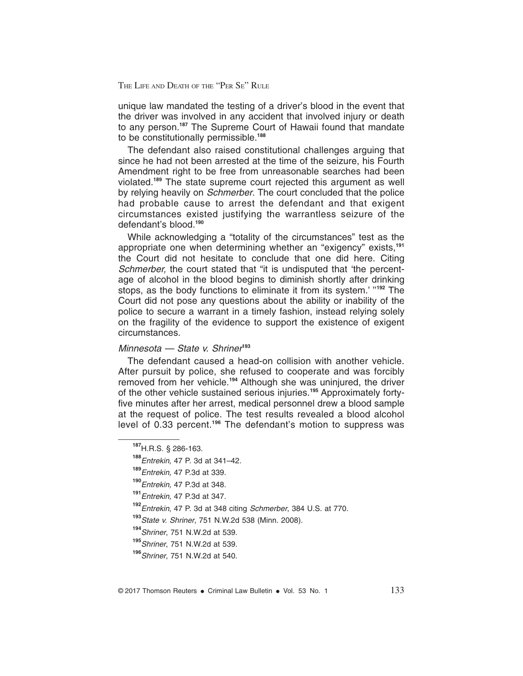unique law mandated the testing of a driver's blood in the event that the driver was involved in any accident that involved injury or death to any person.**<sup>187</sup>** The Supreme Court of Hawaii found that mandate to be constitutionally permissible.**<sup>188</sup>**

The defendant also raised constitutional challenges arguing that since he had not been arrested at the time of the seizure, his Fourth Amendment right to be free from unreasonable searches had been violated.**<sup>189</sup>** The state supreme court rejected this argument as well by relying heavily on *Schmerber*. The court concluded that the police had probable cause to arrest the defendant and that exigent circumstances existed justifying the warrantless seizure of the defendant's blood.**<sup>190</sup>**

While acknowledging a "totality of the circumstances" test as the appropriate one when determining whether an "exigency" exists,**<sup>191</sup>** the Court did not hesitate to conclude that one did here. Citing Schmerber, the court stated that "it is undisputed that 'the percentage of alcohol in the blood begins to diminish shortly after drinking stops, as the body functions to eliminate it from its system.' ''**<sup>192</sup>** The Court did not pose any questions about the ability or inability of the police to secure a warrant in a timely fashion, instead relying solely on the fragility of the evidence to support the existence of exigent circumstances.

#### Minnesota — State v. Shriner**<sup>193</sup>**

The defendant caused a head-on collision with another vehicle. After pursuit by police, she refused to cooperate and was forcibly removed from her vehicle.**<sup>194</sup>** Although she was uninjured, the driver of the other vehicle sustained serious injuries.**<sup>195</sup>** Approximately fortyfive minutes after her arrest, medical personnel drew a blood sample at the request of police. The test results revealed a blood alcohol level of 0.33 percent.**<sup>196</sup>** The defendant's motion to suppress was

**<sup>187</sup>**H.R.S. § 286-163.

**<sup>188</sup>**Entrekin, 47 P. 3d at 341–42.

**<sup>189</sup>**Entrekin, 47 P.3d at 339.

**<sup>190</sup>**Entrekin, 47 P.3d at 348.

**<sup>191</sup>**Entrekin, 47 P.3d at 347.

**<sup>192</sup>**Entrekin, 47 P. 3d at 348 citing Schmerber, 384 U.S. at 770.

**<sup>193</sup>**State v. Shriner, 751 N.W.2d 538 (Minn. 2008).

**<sup>194</sup>**Shriner, 751 N.W.2d at 539.

**<sup>195</sup>**Shriner, 751 N.W.2d at 539.

**<sup>196</sup>**Shriner, 751 N.W.2d at 540.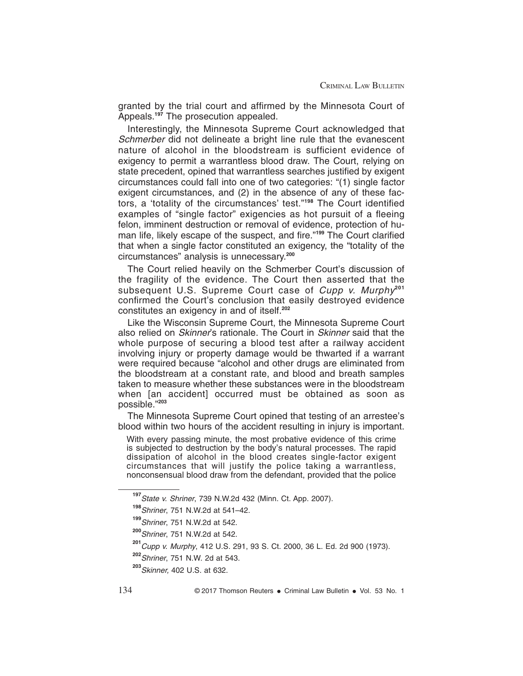granted by the trial court and affirmed by the Minnesota Court of Appeals.**<sup>197</sup>** The prosecution appealed.

Interestingly, the Minnesota Supreme Court acknowledged that Schmerber did not delineate a bright line rule that the evanescent nature of alcohol in the bloodstream is sufficient evidence of exigency to permit a warrantless blood draw. The Court, relying on state precedent, opined that warrantless searches justified by exigent circumstances could fall into one of two categories: "(1) single factor exigent circumstances, and (2) in the absence of any of these factors, a 'totality of the circumstances' test."**<sup>198</sup>** The Court identified examples of "single factor" exigencies as hot pursuit of a fleeing felon, imminent destruction or removal of evidence, protection of human life, likely escape of the suspect, and fire."**<sup>199</sup>** The Court clarified that when a single factor constituted an exigency, the "totality of the circumstances" analysis is unnecessary.**<sup>200</sup>**

The Court relied heavily on the Schmerber Court's discussion of the fragility of the evidence. The Court then asserted that the subsequent U.S. Supreme Court case of *Cupp v. Murphy*<sup>201</sup> confirmed the Court's conclusion that easily destroyed evidence constitutes an exigency in and of itself.**<sup>202</sup>**

Like the Wisconsin Supreme Court, the Minnesota Supreme Court also relied on Skinner's rationale. The Court in Skinner said that the whole purpose of securing a blood test after a railway accident involving injury or property damage would be thwarted if a warrant were required because "alcohol and other drugs are eliminated from the bloodstream at a constant rate, and blood and breath samples taken to measure whether these substances were in the bloodstream when [an accident] occurred must be obtained as soon as possible."**<sup>203</sup>**

The Minnesota Supreme Court opined that testing of an arrestee's blood within two hours of the accident resulting in injury is important.

With every passing minute, the most probative evidence of this crime is subjected to destruction by the body's natural processes. The rapid dissipation of alcohol in the blood creates single-factor exigent circumstances that will justify the police taking a warrantless, nonconsensual blood draw from the defendant, provided that the police

**<sup>197</sup>**State v. Shriner, 739 N.W.2d 432 (Minn. Ct. App. 2007).

**<sup>198</sup>**Shriner, 751 N.W.2d at 541–42.

**<sup>199</sup>**Shriner, 751 N.W.2d at 542.

**<sup>200</sup>**Shriner, 751 N.W.2d at 542.

**<sup>201</sup>**Cupp v. Murphy, 412 U.S. 291, 93 S. Ct. 2000, 36 L. Ed. 2d 900 (1973).

**<sup>202</sup>**Shriner, 751 N.W. 2d at 543.

**<sup>203</sup>**Skinner, 402 U.S. at 632.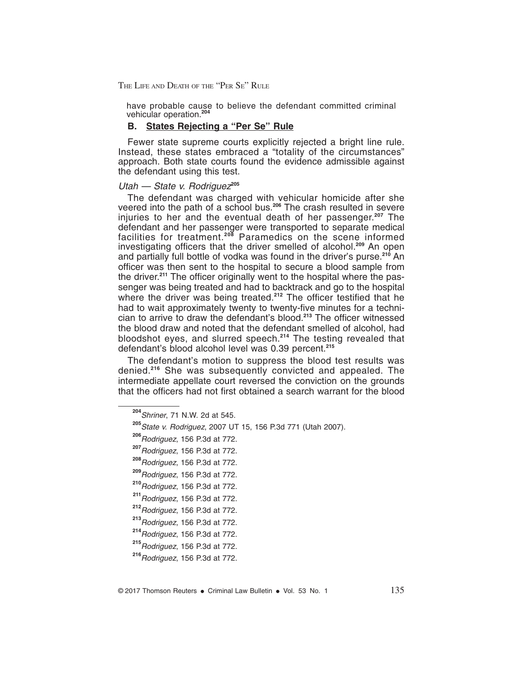have probable cause to believe the defendant committed criminal vehicular operation.**<sup>204</sup>**

#### **B. States Rejecting a "Per Se" Rule**

Fewer state supreme courts explicitly rejected a bright line rule. Instead, these states embraced a "totality of the circumstances" approach. Both state courts found the evidence admissible against the defendant using this test.

#### Utah — State v. Rodriguez<sup>205</sup>

The defendant was charged with vehicular homicide after she veered into the path of a school bus.**<sup>206</sup>** The crash resulted in severe injuries to her and the eventual death of her passenger.**<sup>207</sup>** The defendant and her passenger were transported to separate medical facilities for treatment.**<sup>208</sup>** Paramedics on the scene informed investigating officers that the driver smelled of alcohol.**<sup>209</sup>** An open and partially full bottle of vodka was found in the driver's purse.**<sup>210</sup>** An officer was then sent to the hospital to secure a blood sample from the driver.**<sup>211</sup>** The officer originally went to the hospital where the passenger was being treated and had to backtrack and go to the hospital where the driver was being treated.<sup>212</sup> The officer testified that he had to wait approximately twenty to twenty-five minutes for a technician to arrive to draw the defendant's blood.**<sup>213</sup>** The officer witnessed the blood draw and noted that the defendant smelled of alcohol, had bloodshot eyes, and slurred speech.**<sup>214</sup>** The testing revealed that defendant's blood alcohol level was 0.39 percent.**<sup>215</sup>**

The defendant's motion to suppress the blood test results was denied.**<sup>216</sup>** She was subsequently convicted and appealed. The intermediate appellate court reversed the conviction on the grounds that the officers had not first obtained a search warrant for the blood

- **<sup>207</sup>**Rodriguez, 156 P.3d at 772.
- **<sup>208</sup>**Rodriguez, 156 P.3d at 772.
- **<sup>209</sup>**Rodriguez, 156 P.3d at 772.
- **<sup>210</sup>**Rodriguez, 156 P.3d at 772.
- **<sup>211</sup>**Rodriguez, 156 P.3d at 772.
- **<sup>212</sup>**Rodriguez, 156 P.3d at 772.
- **<sup>213</sup>**Rodriguez, 156 P.3d at 772.
- **<sup>214</sup>**Rodriguez, 156 P.3d at 772.
- **<sup>215</sup>**Rodriguez, 156 P.3d at 772.

**<sup>204</sup>**Shriner, 71 N.W. 2d at 545.

**<sup>205</sup>**State v. Rodriguez, 2007 UT 15, 156 P.3d 771 (Utah 2007).

**<sup>206</sup>**Rodriguez, 156 P.3d at 772.

**<sup>216</sup>**Rodriguez, 156 P.3d at 772.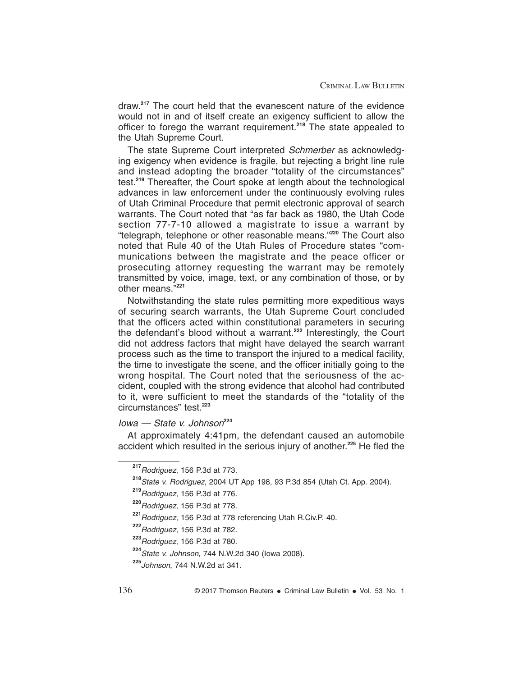draw.**<sup>217</sup>** The court held that the evanescent nature of the evidence would not in and of itself create an exigency sufficient to allow the officer to forego the warrant requirement.**<sup>218</sup>** The state appealed to the Utah Supreme Court.

The state Supreme Court interpreted Schmerber as acknowledging exigency when evidence is fragile, but rejecting a bright line rule and instead adopting the broader "totality of the circumstances" test.**<sup>219</sup>** Thereafter, the Court spoke at length about the technological advances in law enforcement under the continuously evolving rules of Utah Criminal Procedure that permit electronic approval of search warrants. The Court noted that "as far back as 1980, the Utah Code section 77-7-10 allowed a magistrate to issue a warrant by "telegraph, telephone or other reasonable means."**<sup>220</sup>** The Court also noted that Rule 40 of the Utah Rules of Procedure states "communications between the magistrate and the peace officer or prosecuting attorney requesting the warrant may be remotely transmitted by voice, image, text, or any combination of those, or by other means."**<sup>221</sup>**

Notwithstanding the state rules permitting more expeditious ways of securing search warrants, the Utah Supreme Court concluded that the officers acted within constitutional parameters in securing the defendant's blood without a warrant.**<sup>222</sup>** Interestingly, the Court did not address factors that might have delayed the search warrant process such as the time to transport the injured to a medical facility, the time to investigate the scene, and the officer initially going to the wrong hospital. The Court noted that the seriousness of the accident, coupled with the strong evidence that alcohol had contributed to it, were sufficient to meet the standards of the "totality of the circumstances" test.**<sup>223</sup>**

#### Iowa — State v. Johnson**<sup>224</sup>**

At approximately 4:41pm, the defendant caused an automobile accident which resulted in the serious injury of another.**<sup>225</sup>** He fled the

**<sup>217</sup>**Rodriguez, 156 P.3d at 773.

**<sup>218</sup>**State v. Rodriguez, 2004 UT App 198, 93 P.3d 854 (Utah Ct. App. 2004).

**<sup>219</sup>**Rodriguez, 156 P.3d at 776.

**<sup>220</sup>**Rodriguez, 156 P.3d at 778.

**<sup>221</sup>**Rodriguez, 156 P.3d at 778 referencing Utah R.Civ.P. 40.

**<sup>222</sup>**Rodriguez, 156 P.3d at 782.

**<sup>223</sup>**Rodriguez, 156 P.3d at 780.

**<sup>224</sup>**State v. Johnson, 744 N.W.2d 340 (Iowa 2008).

**<sup>225</sup>**Johnson, 744 N.W.2d at 341.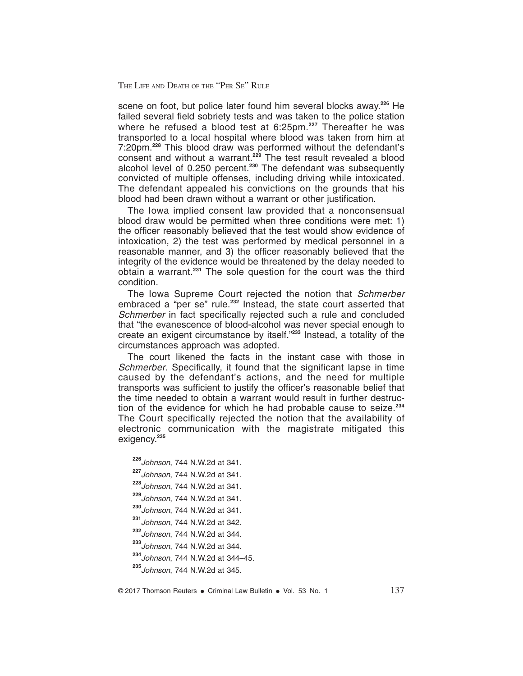scene on foot, but police later found him several blocks away.**<sup>226</sup>** He failed several field sobriety tests and was taken to the police station where he refused a blood test at 6:25pm.**<sup>227</sup>** Thereafter he was transported to a local hospital where blood was taken from him at 7:20pm.**<sup>228</sup>** This blood draw was performed without the defendant's consent and without a warrant.**<sup>229</sup>** The test result revealed a blood alcohol level of 0.250 percent.**<sup>230</sup>** The defendant was subsequently convicted of multiple offenses, including driving while intoxicated. The defendant appealed his convictions on the grounds that his blood had been drawn without a warrant or other justification.

The Iowa implied consent law provided that a nonconsensual blood draw would be permitted when three conditions were met: 1) the officer reasonably believed that the test would show evidence of intoxication, 2) the test was performed by medical personnel in a reasonable manner, and 3) the officer reasonably believed that the integrity of the evidence would be threatened by the delay needed to obtain a warrant.**<sup>231</sup>** The sole question for the court was the third condition.

The Iowa Supreme Court rejected the notion that Schmerber embraced a "per se" rule.**<sup>232</sup>** Instead, the state court asserted that Schmerber in fact specifically rejected such a rule and concluded that "the evanescence of blood-alcohol was never special enough to create an exigent circumstance by itself."**<sup>233</sup>** Instead, a totality of the circumstances approach was adopted.

The court likened the facts in the instant case with those in Schmerber. Specifically, it found that the significant lapse in time caused by the defendant's actions, and the need for multiple transports was sufficient to justify the officer's reasonable belief that the time needed to obtain a warrant would result in further destruction of the evidence for which he had probable cause to seize.**<sup>234</sup>** The Court specifically rejected the notion that the availability of electronic communication with the magistrate mitigated this exigency.**<sup>235</sup>**

- **<sup>226</sup>**Johnson, 744 N.W.2d at 341.
- **<sup>227</sup>**Johnson, 744 N.W.2d at 341.
- **<sup>228</sup>**Johnson, 744 N.W.2d at 341.
- **<sup>229</sup>**Johnson, 744 N.W.2d at 341.
- **<sup>230</sup>**Johnson, 744 N.W.2d at 341.
- **<sup>231</sup>**Johnson, 744 N.W.2d at 342.
- **<sup>232</sup>**Johnson, 744 N.W.2d at 344.
- **<sup>233</sup>**Johnson, 744 N.W.2d at 344.

**<sup>234</sup>**Johnson, 744 N.W.2d at 344–45.

**<sup>235</sup>**Johnson, 744 N.W.2d at 345.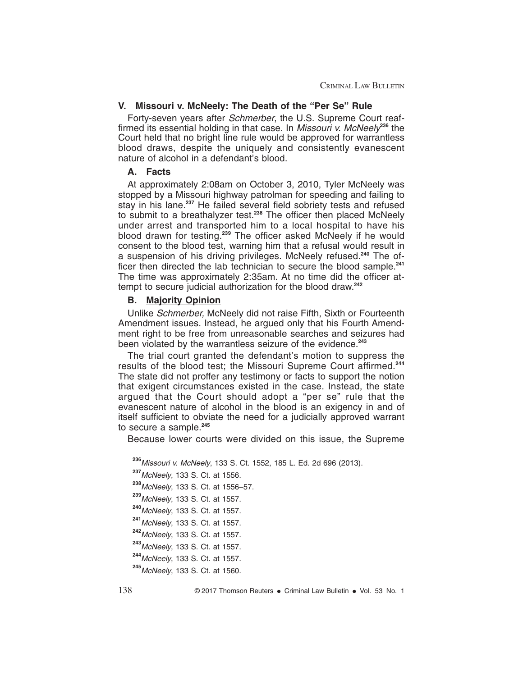#### **V. Missouri v. McNeely: The Death of the "Per Se" Rule**

Forty-seven years after Schmerber, the U.S. Supreme Court reaffirmed its essential holding in that case. In Missouri v. McNeely**<sup>236</sup>** the Court held that no bright line rule would be approved for warrantless blood draws, despite the uniquely and consistently evanescent nature of alcohol in a defendant's blood.

#### **A. Facts**

At approximately 2:08am on October 3, 2010, Tyler McNeely was stopped by a Missouri highway patrolman for speeding and failing to stay in his lane.**<sup>237</sup>** He failed several field sobriety tests and refused to submit to a breathalyzer test.**<sup>238</sup>** The officer then placed McNeely under arrest and transported him to a local hospital to have his blood drawn for testing.**<sup>239</sup>** The officer asked McNeely if he would consent to the blood test, warning him that a refusal would result in a suspension of his driving privileges. McNeely refused.**<sup>240</sup>** The officer then directed the lab technician to secure the blood sample.**<sup>241</sup>** The time was approximately 2:35am. At no time did the officer attempt to secure judicial authorization for the blood draw.**<sup>242</sup>**

#### **B. Majority Opinion**

Unlike Schmerber, McNeely did not raise Fifth, Sixth or Fourteenth Amendment issues. Instead, he argued only that his Fourth Amendment right to be free from unreasonable searches and seizures had been violated by the warrantless seizure of the evidence.**<sup>243</sup>**

The trial court granted the defendant's motion to suppress the results of the blood test; the Missouri Supreme Court affirmed.**<sup>244</sup>** The state did not proffer any testimony or facts to support the notion that exigent circumstances existed in the case. Instead, the state argued that the Court should adopt a "per se" rule that the evanescent nature of alcohol in the blood is an exigency in and of itself sufficient to obviate the need for a judicially approved warrant to secure a sample.**<sup>245</sup>**

Because lower courts were divided on this issue, the Supreme

**<sup>236</sup>**Missouri v. McNeely, 133 S. Ct. 1552, 185 L. Ed. 2d 696 (2013).

**<sup>237</sup>**McNeely, 133 S. Ct. at 1556.

**<sup>238</sup>**McNeely, 133 S. Ct. at 1556–57.

**<sup>239</sup>**McNeely, 133 S. Ct. at 1557.

**<sup>240</sup>**McNeely, 133 S. Ct. at 1557.

**<sup>241</sup>**McNeely, 133 S. Ct. at 1557.

**<sup>242</sup>**McNeely, 133 S. Ct. at 1557.

**<sup>243</sup>**McNeely, 133 S. Ct. at 1557.

**<sup>244</sup>**McNeely, 133 S. Ct. at 1557.

**<sup>245</sup>**McNeely, 133 S. Ct. at 1560.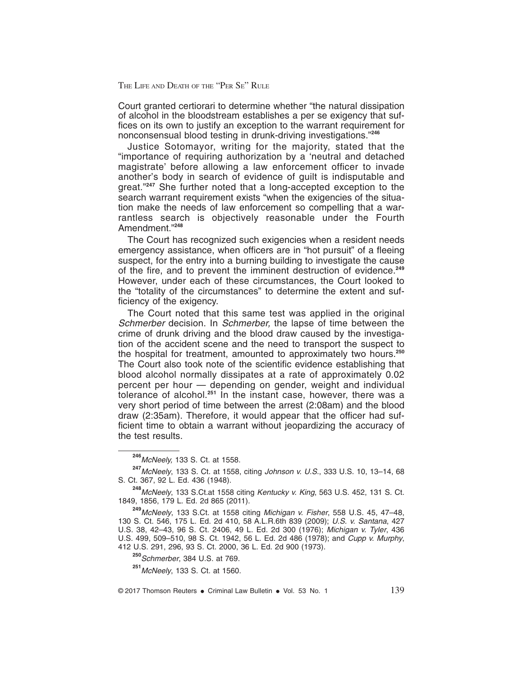Court granted certiorari to determine whether "the natural dissipation of alcohol in the bloodstream establishes a per se exigency that suffices on its own to justify an exception to the warrant requirement for nonconsensual blood testing in drunk-driving investigations."**<sup>246</sup>**

Justice Sotomayor, writing for the majority, stated that the "importance of requiring authorization by a 'neutral and detached magistrate' before allowing a law enforcement officer to invade another's body in search of evidence of guilt is indisputable and great."**<sup>247</sup>** She further noted that a long-accepted exception to the search warrant requirement exists "when the exigencies of the situation make the needs of law enforcement so compelling that a warrantless search is objectively reasonable under the Fourth Amendment."**<sup>248</sup>**

The Court has recognized such exigencies when a resident needs emergency assistance, when officers are in "hot pursuit" of a fleeing suspect, for the entry into a burning building to investigate the cause of the fire, and to prevent the imminent destruction of evidence.**<sup>249</sup>** However, under each of these circumstances, the Court looked to the "totality of the circumstances" to determine the extent and sufficiency of the exigency.

The Court noted that this same test was applied in the original Schmerber decision. In Schmerber, the lapse of time between the crime of drunk driving and the blood draw caused by the investigation of the accident scene and the need to transport the suspect to the hospital for treatment, amounted to approximately two hours.**<sup>250</sup>** The Court also took note of the scientific evidence establishing that blood alcohol normally dissipates at a rate of approximately 0.02 percent per hour — depending on gender, weight and individual tolerance of alcohol.**<sup>251</sup>** In the instant case, however, there was a very short period of time between the arrest (2:08am) and the blood draw (2:35am). Therefore, it would appear that the officer had sufficient time to obtain a warrant without jeopardizing the accuracy of the test results.

**<sup>250</sup>**Schmerber, 384 U.S. at 769.

**<sup>251</sup>**McNeely, 133 S. Ct. at 1560.

 $\degree$  2017 Thomson Reuters • Criminal Law Bulletin • Vol. 53 No. 1 139

**<sup>246</sup>**McNeely, 133 S. Ct. at 1558.

**<sup>247</sup>**McNeely, 133 S. Ct. at 1558, citing Johnson v. U.S., 333 U.S. 10, 13–14, 68 S. Ct. 367, 92 L. Ed. 436 (1948).

**<sup>248</sup>**McNeely, 133 S.Ct.at 1558 citing Kentucky v. King, 563 U.S. 452, 131 S. Ct. 1849, 1856, 179 L. Ed. 2d 865 (2011).

**<sup>249</sup>**McNeely, 133 S.Ct. at 1558 citing Michigan v. Fisher, 558 U.S. 45, 47–48, 130 S. Ct. 546, 175 L. Ed. 2d 410, 58 A.L.R.6th 839 (2009); U.S. v. Santana, 427 U.S. 38, 42–43, 96 S. Ct. 2406, 49 L. Ed. 2d 300 (1976); Michigan v. Tyler, 436 U.S. 499, 509–510, 98 S. Ct. 1942, 56 L. Ed. 2d 486 (1978); and Cupp v. Murphy, 412 U.S. 291, 296, 93 S. Ct. 2000, 36 L. Ed. 2d 900 (1973).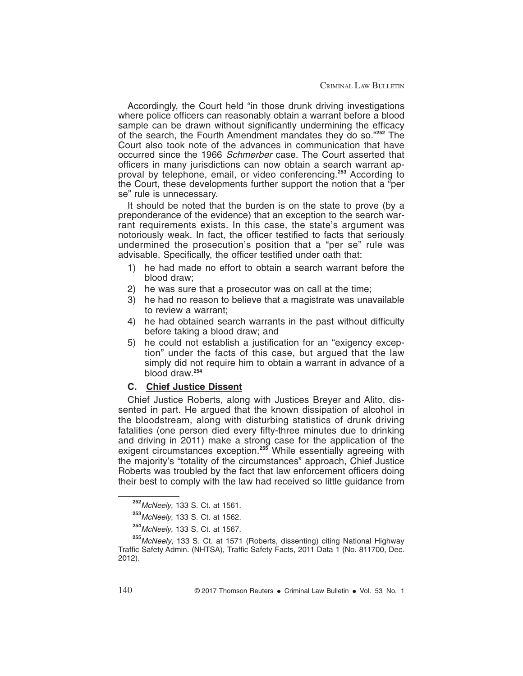Accordingly, the Court held "in those drunk driving investigations where police officers can reasonably obtain a warrant before a blood sample can be drawn without significantly undermining the efficacy of the search, the Fourth Amendment mandates they do so."**<sup>252</sup>** The Court also took note of the advances in communication that have occurred since the 1966 Schmerber case. The Court asserted that officers in many jurisdictions can now obtain a search warrant approval by telephone, email, or video conferencing.**<sup>253</sup>** According to the Court, these developments further support the notion that a "per se" rule is unnecessary.

It should be noted that the burden is on the state to prove (by a preponderance of the evidence) that an exception to the search warrant requirements exists. In this case, the state's argument was notoriously weak. In fact, the officer testified to facts that seriously undermined the prosecution's position that a "per se" rule was advisable. Specifically, the officer testified under oath that:

- 1) he had made no effort to obtain a search warrant before the blood draw;
- 2) he was sure that a prosecutor was on call at the time;
- 3) he had no reason to believe that a magistrate was unavailable to review a warrant;
- 4) he had obtained search warrants in the past without difficulty before taking a blood draw; and
- 5) he could not establish a justification for an "exigency exception" under the facts of this case, but argued that the law simply did not require him to obtain a warrant in advance of a blood draw.**<sup>254</sup>**

#### **C. Chief Justice Dissent**

Chief Justice Roberts, along with Justices Breyer and Alito, dissented in part. He argued that the known dissipation of alcohol in the bloodstream, along with disturbing statistics of drunk driving fatalities (one person died every fifty-three minutes due to drinking and driving in 2011) make a strong case for the application of the exigent circumstances exception.**<sup>255</sup>** While essentially agreeing with the majority's "totality of the circumstances" approach, Chief Justice Roberts was troubled by the fact that law enforcement officers doing their best to comply with the law had received so little guidance from

**<sup>252</sup>**McNeely, 133 S. Ct. at 1561.

**<sup>253</sup>**McNeely, 133 S. Ct. at 1562.

**<sup>254</sup>**McNeely, 133 S. Ct. at 1567.

**<sup>255</sup>**McNeely, 133 S. Ct. at 1571 (Roberts, dissenting) citing National Highway Traffic Safety Admin. (NHTSA), Traffic Safety Facts, 2011 Data 1 (No. 811700, Dec. 2012).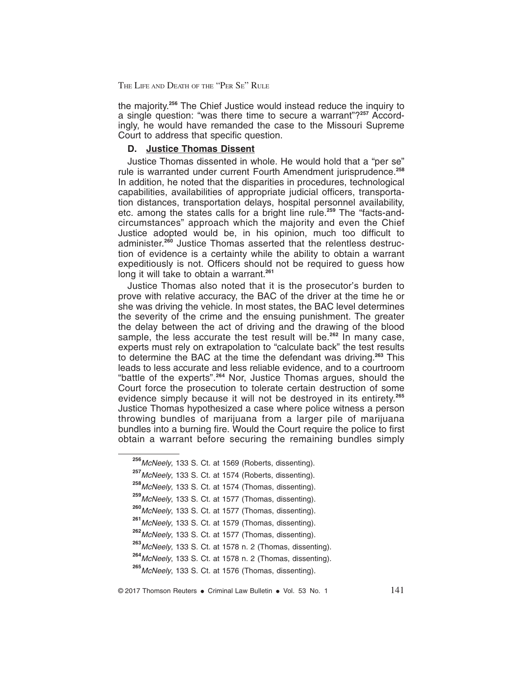the majority.**<sup>256</sup>** The Chief Justice would instead reduce the inquiry to a single question: "was there time to secure a warrant"?**<sup>257</sup>** Accordingly, he would have remanded the case to the Missouri Supreme Court to address that specific question.

#### **D. Justice Thomas Dissent**

Justice Thomas dissented in whole. He would hold that a "per se" rule is warranted under current Fourth Amendment jurisprudence.**<sup>258</sup>** In addition, he noted that the disparities in procedures, technological capabilities, availabilities of appropriate judicial officers, transportation distances, transportation delays, hospital personnel availability, etc. among the states calls for a bright line rule.**<sup>259</sup>** The "facts-andcircumstances" approach which the majority and even the Chief Justice adopted would be, in his opinion, much too difficult to administer.**<sup>260</sup>** Justice Thomas asserted that the relentless destruction of evidence is a certainty while the ability to obtain a warrant expeditiously is not. Officers should not be required to guess how long it will take to obtain a warrant.**<sup>261</sup>**

Justice Thomas also noted that it is the prosecutor's burden to prove with relative accuracy, the BAC of the driver at the time he or she was driving the vehicle. In most states, the BAC level determines the severity of the crime and the ensuing punishment. The greater the delay between the act of driving and the drawing of the blood sample, the less accurate the test result will be.**<sup>262</sup>** In many case, experts must rely on extrapolation to "calculate back" the test results to determine the BAC at the time the defendant was driving.**<sup>263</sup>** This leads to less accurate and less reliable evidence, and to a courtroom "battle of the experts".**<sup>264</sup>** Nor, Justice Thomas argues, should the Court force the prosecution to tolerate certain destruction of some evidence simply because it will not be destroyed in its entirety.**<sup>265</sup>** Justice Thomas hypothesized a case where police witness a person throwing bundles of marijuana from a larger pile of marijuana bundles into a burning fire. Would the Court require the police to first obtain a warrant before securing the remaining bundles simply

- **<sup>256</sup>**McNeely, 133 S. Ct. at 1569 (Roberts, dissenting).
- **<sup>257</sup>**McNeely, 133 S. Ct. at 1574 (Roberts, dissenting).
- **<sup>258</sup>**McNeely, 133 S. Ct. at 1574 (Thomas, dissenting).
- **<sup>259</sup>**McNeely, 133 S. Ct. at 1577 (Thomas, dissenting).
- **<sup>260</sup>**McNeely, 133 S. Ct. at 1577 (Thomas, dissenting).
- **<sup>261</sup>**McNeely, 133 S. Ct. at 1579 (Thomas, dissenting).
- **<sup>262</sup>**McNeely, 133 S. Ct. at 1577 (Thomas, dissenting).

**<sup>263</sup>**McNeely, 133 S. Ct. at 1578 n. 2 (Thomas, dissenting).

**<sup>264</sup>**McNeely, 133 S. Ct. at 1578 n. 2 (Thomas, dissenting).

**<sup>265</sup>**McNeely, 133 S. Ct. at 1576 (Thomas, dissenting).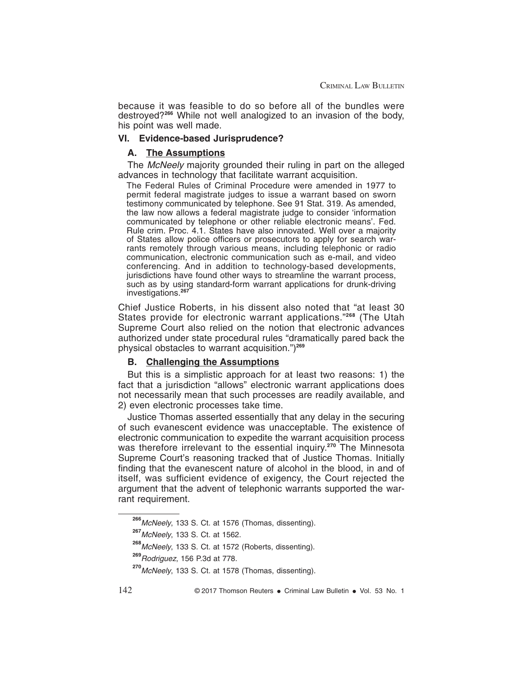because it was feasible to do so before all of the bundles were destroyed?**<sup>266</sup>** While not well analogized to an invasion of the body, his point was well made.

#### **VI. Evidence-based Jurisprudence?**

#### **A. The Assumptions**

The McNeely majority grounded their ruling in part on the alleged advances in technology that facilitate warrant acquisition.

The Federal Rules of Criminal Procedure were amended in 1977 to permit federal magistrate judges to issue a warrant based on sworn testimony communicated by telephone. See 91 Stat. 319. As amended, the law now allows a federal magistrate judge to consider 'information communicated by telephone or other reliable electronic means'. Fed. Rule crim. Proc. 4.1. States have also innovated. Well over a majority of States allow police officers or prosecutors to apply for search warrants remotely through various means, including telephonic or radio communication, electronic communication such as e-mail, and video conferencing. And in addition to technology-based developments, jurisdictions have found other ways to streamline the warrant process, such as by using standard-form warrant applications for drunk-driving investigations.**<sup>267</sup>**

Chief Justice Roberts, in his dissent also noted that "at least 30 States provide for electronic warrant applications."**<sup>268</sup>** (The Utah Supreme Court also relied on the notion that electronic advances authorized under state procedural rules "dramatically pared back the physical obstacles to warrant acquisition.")**<sup>269</sup>**

#### **B. Challenging the Assumptions**

But this is a simplistic approach for at least two reasons: 1) the fact that a jurisdiction "allows" electronic warrant applications does not necessarily mean that such processes are readily available, and 2) even electronic processes take time.

Justice Thomas asserted essentially that any delay in the securing of such evanescent evidence was unacceptable. The existence of electronic communication to expedite the warrant acquisition process was therefore irrelevant to the essential inquiry.**<sup>270</sup>** The Minnesota Supreme Court's reasoning tracked that of Justice Thomas. Initially finding that the evanescent nature of alcohol in the blood, in and of itself, was sufficient evidence of exigency, the Court rejected the argument that the advent of telephonic warrants supported the warrant requirement.

**<sup>266</sup>**McNeely, 133 S. Ct. at 1576 (Thomas, dissenting).

**<sup>267</sup>**McNeely, 133 S. Ct. at 1562.

**<sup>268</sup>**McNeely, 133 S. Ct. at 1572 (Roberts, dissenting).

**<sup>269</sup>**Rodriguez, 156 P.3d at 778.

**<sup>270</sup>**McNeely, 133 S. Ct. at 1578 (Thomas, dissenting).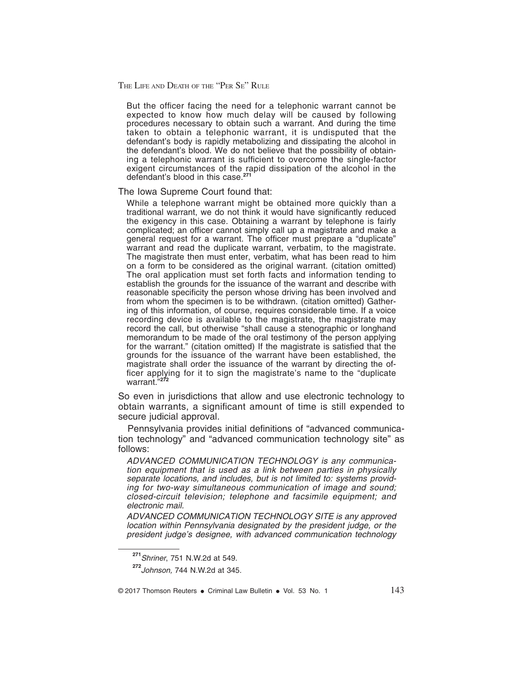But the officer facing the need for a telephonic warrant cannot be expected to know how much delay will be caused by following procedures necessary to obtain such a warrant. And during the time taken to obtain a telephonic warrant, it is undisputed that the defendant's body is rapidly metabolizing and dissipating the alcohol in the defendant's blood. We do not believe that the possibility of obtaining a telephonic warrant is sufficient to overcome the single-factor exigent circumstances of the rapid dissipation of the alcohol in the defendant's blood in this case.**<sup>271</sup>**

#### The Iowa Supreme Court found that:

While a telephone warrant might be obtained more quickly than a traditional warrant, we do not think it would have significantly reduced the exigency in this case. Obtaining a warrant by telephone is fairly complicated; an officer cannot simply call up a magistrate and make a general request for a warrant. The officer must prepare a "duplicate" warrant and read the duplicate warrant, verbatim, to the magistrate. The magistrate then must enter, verbatim, what has been read to him on a form to be considered as the original warrant. (citation omitted) The oral application must set forth facts and information tending to establish the grounds for the issuance of the warrant and describe with reasonable specificity the person whose driving has been involved and from whom the specimen is to be withdrawn. (citation omitted) Gathering of this information, of course, requires considerable time. If a voice recording device is available to the magistrate, the magistrate may record the call, but otherwise "shall cause a stenographic or longhand memorandum to be made of the oral testimony of the person applying for the warrant." (citation omitted) If the magistrate is satisfied that the grounds for the issuance of the warrant have been established, the magistrate shall order the issuance of the warrant by directing the officer applying for it to sign the magistrate's name to the "duplicate warrant."**<sup>272</sup>**

So even in jurisdictions that allow and use electronic technology to obtain warrants, a significant amount of time is still expended to secure judicial approval.

Pennsylvania provides initial definitions of "advanced communication technology" and "advanced communication technology site" as follows:

ADVANCED COMMUNICATION TECHNOLOGY is any communication equipment that is used as a link between parties in physically separate locations, and includes, but is not limited to: systems providing for two-way simultaneous communication of image and sound; closed-circuit television; telephone and facsimile equipment; and electronic mail.

ADVANCED COMMUNICATION TECHNOLOGY SITE is any approved location within Pennsylvania designated by the president judge, or the president judge's designee, with advanced communication technology

**<sup>271</sup>**Shriner, 751 N.W.2d at 549.

**<sup>272</sup>**Johnson, 744 N.W.2d at 345.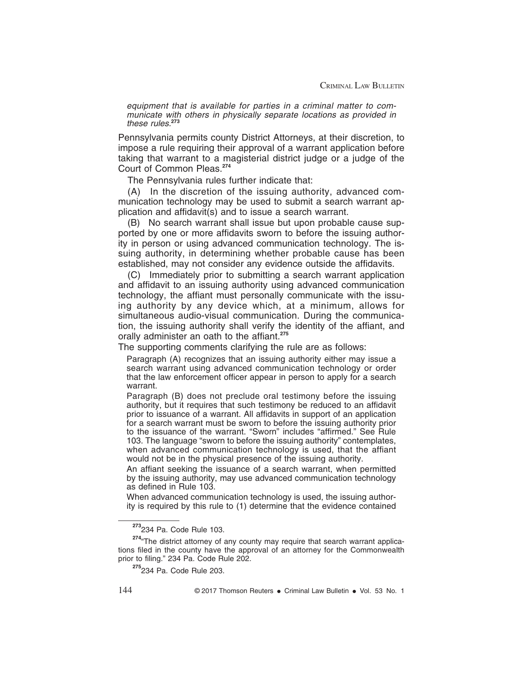equipment that is available for parties in a criminal matter to communicate with others in physically separate locations as provided in these rules.**<sup>273</sup>**

Pennsylvania permits county District Attorneys, at their discretion, to impose a rule requiring their approval of a warrant application before taking that warrant to a magisterial district judge or a judge of the Court of Common Pleas.**<sup>274</sup>**

The Pennsylvania rules further indicate that:

(A) In the discretion of the issuing authority, advanced communication technology may be used to submit a search warrant application and affidavit(s) and to issue a search warrant.

(B) No search warrant shall issue but upon probable cause supported by one or more affidavits sworn to before the issuing authority in person or using advanced communication technology. The issuing authority, in determining whether probable cause has been established, may not consider any evidence outside the affidavits.

(C) Immediately prior to submitting a search warrant application and affidavit to an issuing authority using advanced communication technology, the affiant must personally communicate with the issuing authority by any device which, at a minimum, allows for simultaneous audio-visual communication. During the communication, the issuing authority shall verify the identity of the affiant, and orally administer an oath to the affiant.**<sup>275</sup>**

The supporting comments clarifying the rule are as follows:

Paragraph (A) recognizes that an issuing authority either may issue a search warrant using advanced communication technology or order that the law enforcement officer appear in person to apply for a search warrant.

Paragraph (B) does not preclude oral testimony before the issuing authority, but it requires that such testimony be reduced to an affidavit prior to issuance of a warrant. All affidavits in support of an application for a search warrant must be sworn to before the issuing authority prior to the issuance of the warrant. "Sworn" includes "affirmed." See Rule 103. The language "sworn to before the issuing authority" contemplates, when advanced communication technology is used, that the affiant would not be in the physical presence of the issuing authority.

An affiant seeking the issuance of a search warrant, when permitted by the issuing authority, may use advanced communication technology as defined in Rule 103.

When advanced communication technology is used, the issuing authority is required by this rule to (1) determine that the evidence contained

**<sup>273</sup>**234 Pa. Code Rule 103.

<sup>&</sup>lt;sup>274</sup> The district attorney of any county may require that search warrant applications filed in the county have the approval of an attorney for the Commonwealth prior to filing." 234 Pa. Code Rule 202.

**<sup>275</sup>**234 Pa. Code Rule 203.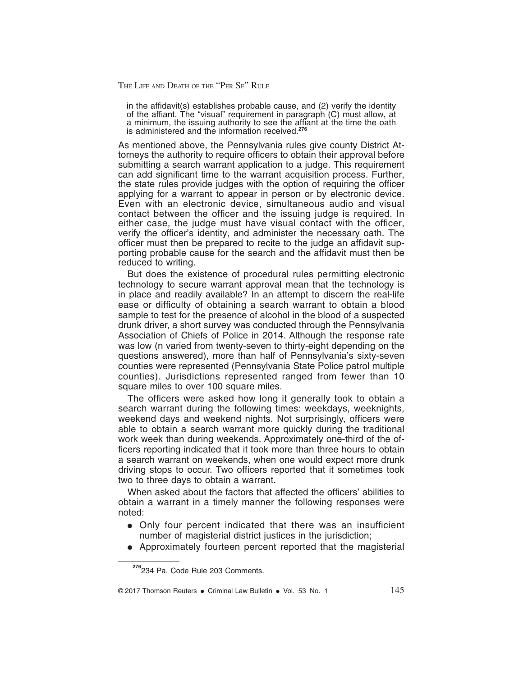in the affidavit(s) establishes probable cause, and (2) verify the identity of the affiant. The "visual" requirement in paragraph (C) must allow, at a minimum, the issuing authority to see the affiant at the time the oath is administered and the information received.**<sup>276</sup>**

As mentioned above, the Pennsylvania rules give county District Attorneys the authority to require officers to obtain their approval before submitting a search warrant application to a judge. This requirement can add significant time to the warrant acquisition process. Further, the state rules provide judges with the option of requiring the officer applying for a warrant to appear in person or by electronic device. Even with an electronic device, simultaneous audio and visual contact between the officer and the issuing judge is required. In either case, the judge must have visual contact with the officer, verify the officer's identity, and administer the necessary oath. The officer must then be prepared to recite to the judge an affidavit supporting probable cause for the search and the affidavit must then be reduced to writing.

But does the existence of procedural rules permitting electronic technology to secure warrant approval mean that the technology is in place and readily available? In an attempt to discern the real-life ease or difficulty of obtaining a search warrant to obtain a blood sample to test for the presence of alcohol in the blood of a suspected drunk driver, a short survey was conducted through the Pennsylvania Association of Chiefs of Police in 2014. Although the response rate was low (n varied from twenty-seven to thirty-eight depending on the questions answered), more than half of Pennsylvania's sixty-seven counties were represented (Pennsylvania State Police patrol multiple counties). Jurisdictions represented ranged from fewer than 10 square miles to over 100 square miles.

The officers were asked how long it generally took to obtain a search warrant during the following times: weekdays, weeknights, weekend days and weekend nights. Not surprisingly, officers were able to obtain a search warrant more quickly during the traditional work week than during weekends. Approximately one-third of the officers reporting indicated that it took more than three hours to obtain a search warrant on weekends, when one would expect more drunk driving stops to occur. Two officers reported that it sometimes took two to three days to obtain a warrant.

When asked about the factors that affected the officers' abilities to obtain a warrant in a timely manner the following responses were noted:

- Only four percent indicated that there was an insufficient number of magisterial district justices in the jurisdiction;
- Approximately fourteen percent reported that the magisterial

**<sup>276</sup>**234 Pa. Code Rule 203 Comments.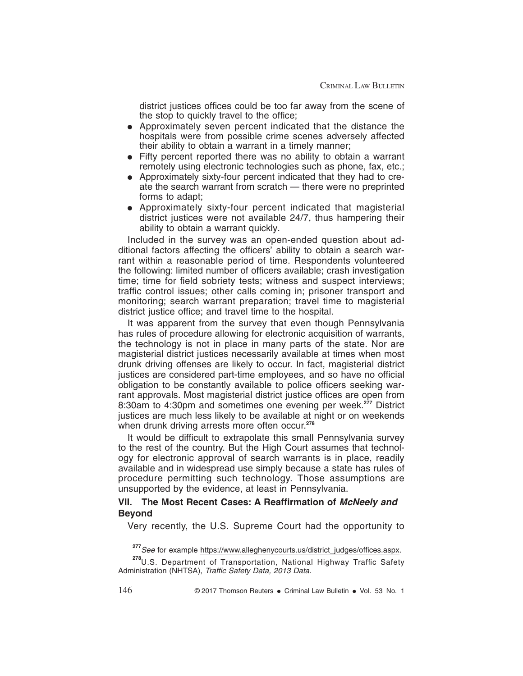district justices offices could be too far away from the scene of the stop to quickly travel to the office;

- Approximately seven percent indicated that the distance the hospitals were from possible crime scenes adversely affected their ability to obtain a warrant in a timely manner;
- $\bullet$  Fifty percent reported there was no ability to obtain a warrant remotely using electronic technologies such as phone, fax, etc.;
- Approximately sixty-four percent indicated that they had to create the search warrant from scratch — there were no preprinted forms to adapt;
- Approximately sixty-four percent indicated that magisterial district justices were not available 24/7, thus hampering their ability to obtain a warrant quickly.

Included in the survey was an open-ended question about additional factors affecting the officers' ability to obtain a search warrant within a reasonable period of time. Respondents volunteered the following: limited number of officers available; crash investigation time; time for field sobriety tests; witness and suspect interviews; traffic control issues; other calls coming in; prisoner transport and monitoring; search warrant preparation; travel time to magisterial district justice office; and travel time to the hospital.

It was apparent from the survey that even though Pennsylvania has rules of procedure allowing for electronic acquisition of warrants, the technology is not in place in many parts of the state. Nor are magisterial district justices necessarily available at times when most drunk driving offenses are likely to occur. In fact, magisterial district justices are considered part-time employees, and so have no official obligation to be constantly available to police officers seeking warrant approvals. Most magisterial district justice offices are open from 8:30am to 4:30pm and sometimes one evening per week.**<sup>277</sup>** District justices are much less likely to be available at night or on weekends when drunk driving arrests more often occur.**<sup>278</sup>**

It would be difficult to extrapolate this small Pennsylvania survey to the rest of the country. But the High Court assumes that technology for electronic approval of search warrants is in place, readily available and in widespread use simply because a state has rules of procedure permitting such technology. Those assumptions are unsupported by the evidence, at least in Pennsylvania.

#### **VII. The Most Recent Cases: A Reaffirmation of McNeely and Beyond**

Very recently, the U.S. Supreme Court had the opportunity to

**<sup>277</sup>**See for example https://www.alleghenycourts.us/district\_judges/offices.aspx.

**<sup>278</sup>**U.S. Department of Transportation, National Highway Traffic Safety Administration (NHTSA), Traffic Safety Data, 2013 Data.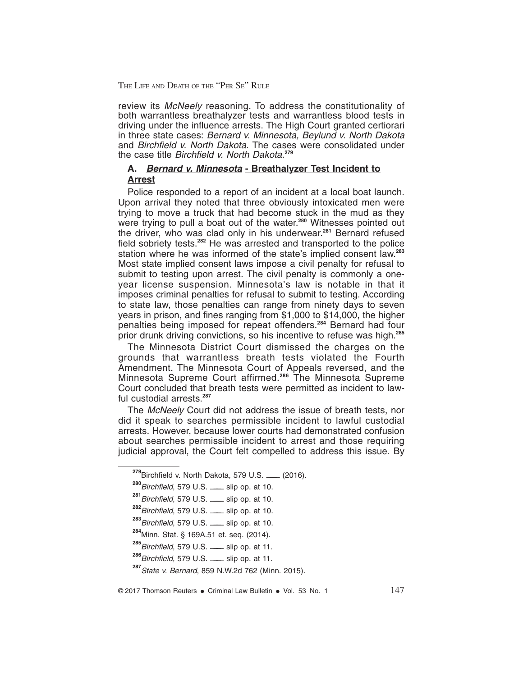review its *McNeely* reasoning. To address the constitutionality of both warrantless breathalyzer tests and warrantless blood tests in driving under the influence arrests. The High Court granted certiorari in three state cases: Bernard v. Minnesota, Beylund v. North Dakota and Birchfield v. North Dakota. The cases were consolidated under the case title Birchfield v. North Dakota. **279**

### **A. Bernard v. Minnesota - Breathalyzer Test Incident to Arrest**

Police responded to a report of an incident at a local boat launch. Upon arrival they noted that three obviously intoxicated men were trying to move a truck that had become stuck in the mud as they were trying to pull a boat out of the water.**<sup>280</sup>** Witnesses pointed out the driver, who was clad only in his underwear.**<sup>281</sup>** Bernard refused field sobriety tests.**<sup>282</sup>** He was arrested and transported to the police station where he was informed of the state's implied consent law.**<sup>283</sup>** Most state implied consent laws impose a civil penalty for refusal to submit to testing upon arrest. The civil penalty is commonly a oneyear license suspension. Minnesota's law is notable in that it imposes criminal penalties for refusal to submit to testing. According to state law, those penalties can range from ninety days to seven years in prison, and fines ranging from \$1,000 to \$14,000, the higher penalties being imposed for repeat offenders.**<sup>284</sup>** Bernard had four prior drunk driving convictions, so his incentive to refuse was high.**<sup>285</sup>**

The Minnesota District Court dismissed the charges on the grounds that warrantless breath tests violated the Fourth Amendment. The Minnesota Court of Appeals reversed, and the Minnesota Supreme Court affirmed.**<sup>286</sup>** The Minnesota Supreme Court concluded that breath tests were permitted as incident to lawful custodial arrests.**<sup>287</sup>**

The McNeely Court did not address the issue of breath tests, nor did it speak to searches permissible incident to lawful custodial arrests. However, because lower courts had demonstrated confusion about searches permissible incident to arrest and those requiring judicial approval, the Court felt compelled to address this issue. By

**<sup>279</sup>Birchfield v. North Dakota, 579 U.S. \_\_ (2016).** 

**<sup>280</sup>**Birchfield, 579 U.S. ——— slip op. at 10.

<sup>281</sup> Birchfield, 579 U.S. **-** slip op. at 10.

**<sup>282</sup>**Birchfield, 579 U.S. ——— slip op. at 10.

**<sup>283</sup>**Birchfield, 579 U.S. ——— slip op. at 10.

**<sup>284</sup>**Minn. Stat. § 169A.51 et. seq. (2014).

**<sup>285</sup>**Birchfield, 579 U.S. ——— slip op. at 11.

**<sup>286</sup>**Birchfield, 579 U.S. ——— slip op. at 11.

**<sup>287</sup>**State v. Bernard, 859 N.W.2d 762 (Minn. 2015).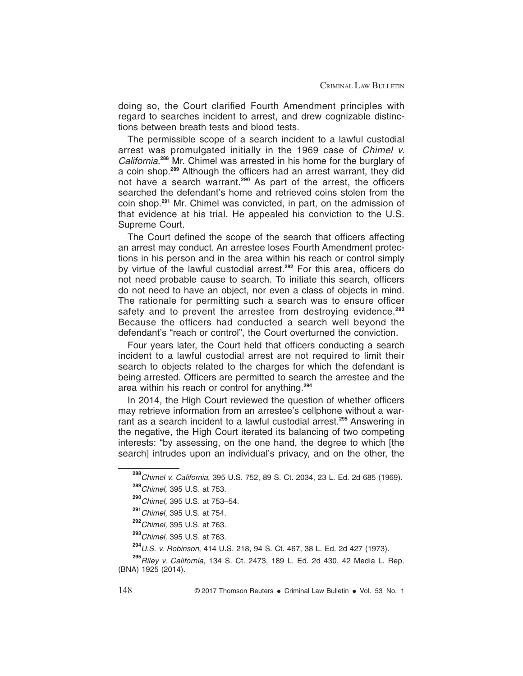doing so, the Court clarified Fourth Amendment principles with regard to searches incident to arrest, and drew cognizable distinctions between breath tests and blood tests.

The permissible scope of a search incident to a lawful custodial arrest was promulgated initially in the 1969 case of Chimel v. California. **<sup>288</sup>** Mr. Chimel was arrested in his home for the burglary of a coin shop.**<sup>289</sup>** Although the officers had an arrest warrant, they did not have a search warrant.**<sup>290</sup>** As part of the arrest, the officers searched the defendant's home and retrieved coins stolen from the coin shop.**<sup>291</sup>** Mr. Chimel was convicted, in part, on the admission of that evidence at his trial. He appealed his conviction to the U.S. Supreme Court.

The Court defined the scope of the search that officers affecting an arrest may conduct. An arrestee loses Fourth Amendment protections in his person and in the area within his reach or control simply by virtue of the lawful custodial arrest.**<sup>292</sup>** For this area, officers do not need probable cause to search. To initiate this search, officers do not need to have an object, nor even a class of objects in mind. The rationale for permitting such a search was to ensure officer safety and to prevent the arrestee from destroying evidence. **293** Because the officers had conducted a search well beyond the defendant's "reach or control", the Court overturned the conviction.

Four years later, the Court held that officers conducting a search incident to a lawful custodial arrest are not required to limit their search to objects related to the charges for which the defendant is being arrested. Officers are permitted to search the arrestee and the area within his reach or control for anything.**<sup>294</sup>**

In 2014, the High Court reviewed the question of whether officers may retrieve information from an arrestee's cellphone without a warrant as a search incident to a lawful custodial arrest.**<sup>295</sup>** Answering in the negative, the High Court iterated its balancing of two competing interests: "by assessing, on the one hand, the degree to which [the search] intrudes upon an individual's privacy, and on the other, the

**<sup>294</sup>**U.S. v. Robinson, 414 U.S. 218, 94 S. Ct. 467, 38 L. Ed. 2d 427 (1973).

**<sup>295</sup>**Riley v. California, 134 S. Ct. 2473, 189 L. Ed. 2d 430, 42 Media L. Rep. (BNA) 1925 (2014).

148 **C** 2017 Thomson Reuters • Criminal Law Bulletin • Vol. 53 No. 1

**<sup>288</sup>**Chimel v. California, 395 U.S. 752, 89 S. Ct. 2034, 23 L. Ed. 2d 685 (1969). **<sup>289</sup>**Chimel, 395 U.S. at 753.

**<sup>290</sup>**Chimel, 395 U.S. at 753–54.

**<sup>291</sup>**Chimel, 395 U.S. at 754.

**<sup>292</sup>**Chimel, 395 U.S. at 763.

**<sup>293</sup>**Chimel, 395 U.S. at 763.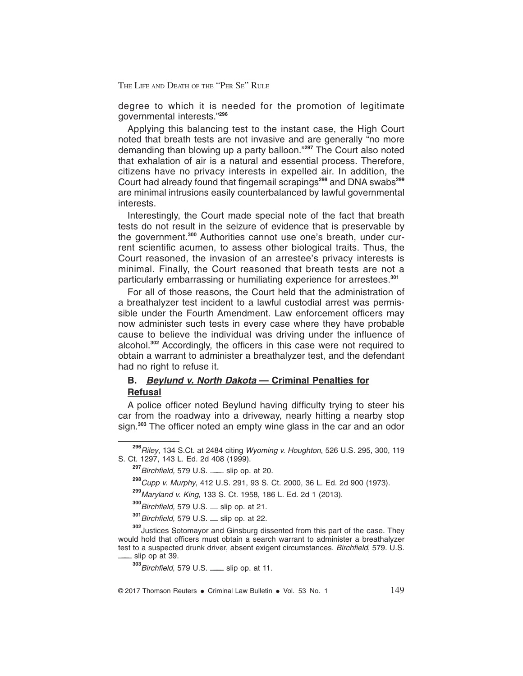degree to which it is needed for the promotion of legitimate governmental interests."**<sup>296</sup>**

Applying this balancing test to the instant case, the High Court noted that breath tests are not invasive and are generally "no more demanding than blowing up a party balloon."**<sup>297</sup>** The Court also noted that exhalation of air is a natural and essential process. Therefore, citizens have no privacy interests in expelled air. In addition, the Court had already found that fingernail scrapings**<sup>298</sup>** and DNA swabs**<sup>299</sup>** are minimal intrusions easily counterbalanced by lawful governmental interests.

Interestingly, the Court made special note of the fact that breath tests do not result in the seizure of evidence that is preservable by the government.**<sup>300</sup>** Authorities cannot use one's breath, under current scientific acumen, to assess other biological traits. Thus, the Court reasoned, the invasion of an arrestee's privacy interests is minimal. Finally, the Court reasoned that breath tests are not a particularly embarrassing or humiliating experience for arrestees.**<sup>301</sup>**

For all of those reasons, the Court held that the administration of a breathalyzer test incident to a lawful custodial arrest was permissible under the Fourth Amendment. Law enforcement officers may now administer such tests in every case where they have probable cause to believe the individual was driving under the influence of alcohol.**<sup>302</sup>** Accordingly, the officers in this case were not required to obtain a warrant to administer a breathalyzer test, and the defendant had no right to refuse it.

#### **B. Beylund v. North Dakota — Criminal Penalties for Refusal**

A police officer noted Beylund having difficulty trying to steer his car from the roadway into a driveway, nearly hitting a nearby stop sign.**<sup>303</sup>** The officer noted an empty wine glass in the car and an odor

**<sup>296</sup>**Riley, 134 S.Ct. at 2484 citing Wyoming v. Houghton, 526 U.S. 295, 300, 119 S. Ct. 1297, 143 L. Ed. 2d 408 (1999).

**<sup>297</sup>**Birchfield, 579 U.S. ——— slip op. at 20.

**<sup>298</sup>**Cupp v. Murphy, 412 U.S. 291, 93 S. Ct. 2000, 36 L. Ed. 2d 900 (1973).

**<sup>299</sup>**Maryland v. King, 133 S. Ct. 1958, 186 L. Ed. 2d 1 (2013).

**<sup>300</sup>**Birchfield, 579 U.S. — slip op. at 21.

**<sup>301</sup>**Birchfield, 579 U.S. — slip op. at 22.

**<sup>302</sup>**Justices Sotomayor and Ginsburg dissented from this part of the case. They would hold that officers must obtain a search warrant to administer a breathalyzer test to a suspected drunk driver, absent exigent circumstances. Birchfield, 579. U.S. slip op at 39.

**<sup>303</sup>**Birchfield, 579 U.S. ——— slip op. at 11.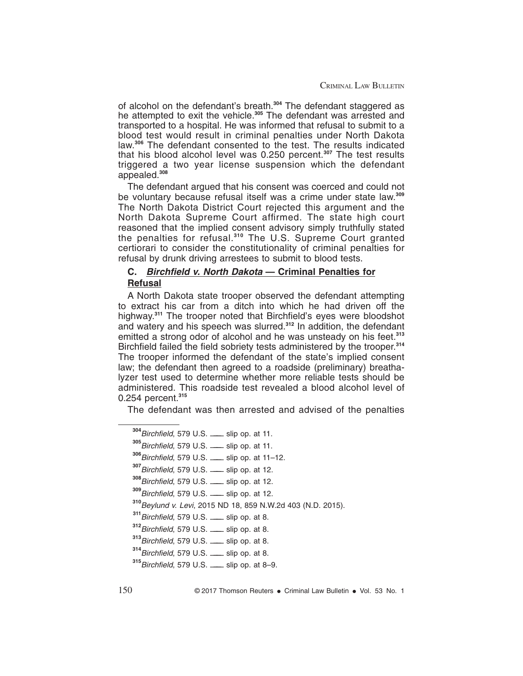of alcohol on the defendant's breath.**<sup>304</sup>** The defendant staggered as he attempted to exit the vehicle.**<sup>305</sup>** The defendant was arrested and transported to a hospital. He was informed that refusal to submit to a blood test would result in criminal penalties under North Dakota law.**<sup>306</sup>** The defendant consented to the test. The results indicated that his blood alcohol level was 0.250 percent.**<sup>307</sup>** The test results triggered a two year license suspension which the defendant appealed.**<sup>308</sup>**

The defendant argued that his consent was coerced and could not be voluntary because refusal itself was a crime under state law.**<sup>309</sup>** The North Dakota District Court rejected this argument and the North Dakota Supreme Court affirmed. The state high court reasoned that the implied consent advisory simply truthfully stated the penalties for refusal.**<sup>310</sup>** The U.S. Supreme Court granted certiorari to consider the constitutionality of criminal penalties for refusal by drunk driving arrestees to submit to blood tests.

### **C. Birchfield v. North Dakota — Criminal Penalties for Refusal**

A North Dakota state trooper observed the defendant attempting to extract his car from a ditch into which he had driven off the highway.**<sup>311</sup>** The trooper noted that Birchfield's eyes were bloodshot and watery and his speech was slurred.**<sup>312</sup>** In addition, the defendant emitted a strong odor of alcohol and he was unsteady on his feet.**<sup>313</sup>** Birchfield failed the field sobriety tests administered by the trooper.**<sup>314</sup>** The trooper informed the defendant of the state's implied consent law; the defendant then agreed to a roadside (preliminary) breathalyzer test used to determine whether more reliable tests should be administered. This roadside test revealed a blood alcohol level of 0.254 percent.**<sup>315</sup>**

The defendant was then arrested and advised of the penalties

Birchfield, 579 U.S. ——— slip op. at 11. Birchfield, 579 U.S. ——— slip op. at 11. Birchfield, 579 U.S. ——— slip op. at 11–12. Birchfield, 579 U.S. ——— slip op. at 12. Birchfield, 579 U.S. ——— slip op. at 12. Birchfield, 579 U.S. ——— slip op. at 12. Beylund v. Levi, 2015 ND 18, 859 N.W.2d 403 (N.D. 2015). Birchfield, 579 U.S. ——— slip op. at 8. Birchfield, 579 U.S. ——— slip op. at 8. Birchfield, 579 U.S. ——— slip op. at 8. Birchfield, 579 U.S. ——— slip op. at 8. Birchfield, 579 U.S. ——— slip op. at 8–9.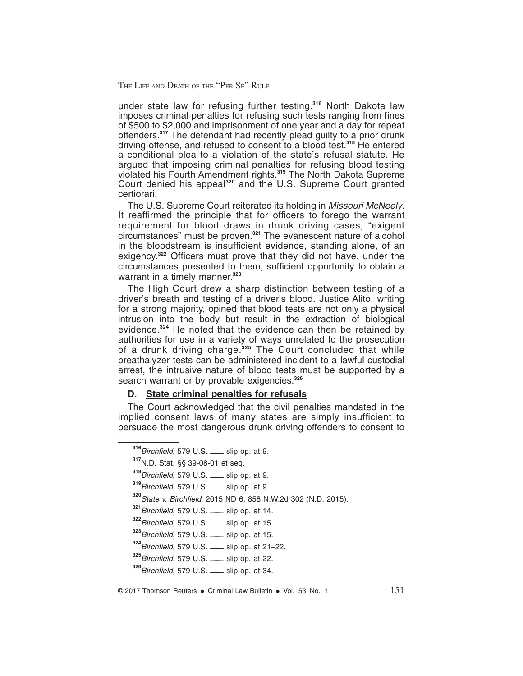under state law for refusing further testing.**<sup>316</sup>** North Dakota law imposes criminal penalties for refusing such tests ranging from fines of \$500 to \$2,000 and imprisonment of one year and a day for repeat offenders.**<sup>317</sup>** The defendant had recently plead guilty to a prior drunk driving offense, and refused to consent to a blood test.**<sup>318</sup>** He entered a conditional plea to a violation of the state's refusal statute. He argued that imposing criminal penalties for refusing blood testing violated his Fourth Amendment rights.**<sup>319</sup>** The North Dakota Supreme Court denied his appeal**<sup>320</sup>** and the U.S. Supreme Court granted certiorari.

The U.S. Supreme Court reiterated its holding in Missouri McNeely. It reaffirmed the principle that for officers to forego the warrant requirement for blood draws in drunk driving cases, "exigent circumstances" must be proven.**<sup>321</sup>** The evanescent nature of alcohol in the bloodstream is insufficient evidence, standing alone, of an exigency.**<sup>322</sup>** Officers must prove that they did not have, under the circumstances presented to them, sufficient opportunity to obtain a warrant in a timely manner.**<sup>323</sup>**

The High Court drew a sharp distinction between testing of a driver's breath and testing of a driver's blood. Justice Alito, writing for a strong majority, opined that blood tests are not only a physical intrusion into the body but result in the extraction of biological evidence.**<sup>324</sup>** He noted that the evidence can then be retained by authorities for use in a variety of ways unrelated to the prosecution of a drunk driving charge.**<sup>325</sup>** The Court concluded that while breathalyzer tests can be administered incident to a lawful custodial arrest, the intrusive nature of blood tests must be supported by a search warrant or by provable exigencies.**<sup>326</sup>**

#### **D. State criminal penalties for refusals**

The Court acknowledged that the civil penalties mandated in the implied consent laws of many states are simply insufficient to persuade the most dangerous drunk driving offenders to consent to

**<sup>316</sup>**Birchfield, 579 U.S. ——— slip op. at 9.

**<sup>317</sup>**N.D. Stat. §§ 39-08-01 et seq.

**<sup>318</sup>**Birchfield, 579 U.S. ——— slip op. at 9.

**<sup>319</sup>**Birchfield, 579 U.S. ——— slip op. at 9.

**<sup>320</sup>**State v. Birchfield, 2015 ND 6, 858 N.W.2d 302 (N.D. 2015).

**<sup>321</sup>**Birchfield, 579 U.S. ——— slip op. at 14.

**<sup>322</sup>**Birchfield, 579 U.S. ——— slip op. at 15.

**<sup>323</sup>**Birchfield, 579 U.S. ——— slip op. at 15.

**<sup>324</sup>**Birchfield, 579 U.S. ——— slip op. at 21–22.

**<sup>325</sup>**Birchfield, 579 U.S. ——— slip op. at 22.

**<sup>326</sup>**Birchfield, 579 U.S. ——— slip op. at 34.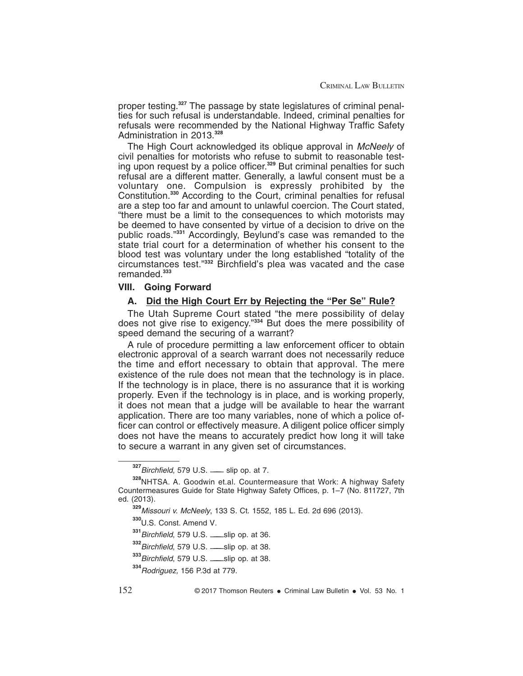proper testing.**<sup>327</sup>** The passage by state legislatures of criminal penalties for such refusal is understandable. Indeed, criminal penalties for refusals were recommended by the National Highway Traffic Safety Administration in 2013.**<sup>328</sup>**

The High Court acknowledged its oblique approval in McNeely of civil penalties for motorists who refuse to submit to reasonable testing upon request by a police officer.**<sup>329</sup>** But criminal penalties for such refusal are a different matter. Generally, a lawful consent must be a voluntary one. Compulsion is expressly prohibited by the Constitution.**<sup>330</sup>** According to the Court, criminal penalties for refusal are a step too far and amount to unlawful coercion. The Court stated, "there must be a limit to the consequences to which motorists may be deemed to have consented by virtue of a decision to drive on the public roads."**<sup>331</sup>** Accordingly, Beylund's case was remanded to the state trial court for a determination of whether his consent to the blood test was voluntary under the long established "totality of the circumstances test."**<sup>332</sup>** Birchfield's plea was vacated and the case remanded.**<sup>333</sup>**

#### **VIII. Going Forward**

#### **A. Did the High Court Err by Rejecting the "Per Se" Rule?**

The Utah Supreme Court stated "the mere possibility of delay does not give rise to exigency."**<sup>334</sup>** But does the mere possibility of speed demand the securing of a warrant?

A rule of procedure permitting a law enforcement officer to obtain electronic approval of a search warrant does not necessarily reduce the time and effort necessary to obtain that approval. The mere existence of the rule does not mean that the technology is in place. If the technology is in place, there is no assurance that it is working properly. Even if the technology is in place, and is working properly, it does not mean that a judge will be available to hear the warrant application. There are too many variables, none of which a police officer can control or effectively measure. A diligent police officer simply does not have the means to accurately predict how long it will take to secure a warrant in any given set of circumstances.

**<sup>327</sup>**Birchfield, 579 U.S. ——— slip op. at 7.

**<sup>328</sup>**NHTSA. A. Goodwin et.al. Countermeasure that Work: A highway Safety Countermeasures Guide for State Highway Safety Offices, p. 1–7 (No. 811727, 7th ed. (2013).

**<sup>329</sup>**Missouri v. McNeely, 133 S. Ct. 1552, 185 L. Ed. 2d 696 (2013).

**<sup>330</sup>**U.S. Const. Amend V.

**<sup>331</sup>**Birchfield, 579 U.S. ———slip op. at 36.

**<sup>332</sup>**Birchfield, 579 U.S. ———slip op. at 38.

**<sup>333</sup>**Birchfield, 579 U.S. ———slip op. at 38.

**<sup>334</sup>**Rodriguez, 156 P.3d at 779.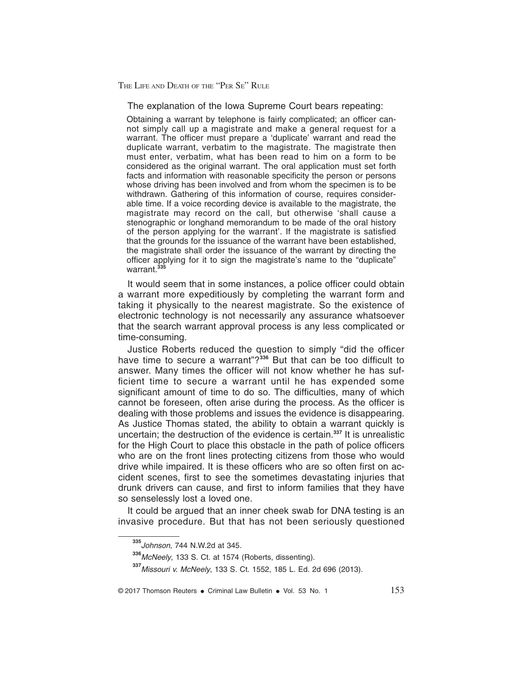The explanation of the Iowa Supreme Court bears repeating:

Obtaining a warrant by telephone is fairly complicated; an officer cannot simply call up a magistrate and make a general request for a warrant. The officer must prepare a 'duplicate' warrant and read the duplicate warrant, verbatim to the magistrate. The magistrate then must enter, verbatim, what has been read to him on a form to be considered as the original warrant. The oral application must set forth facts and information with reasonable specificity the person or persons whose driving has been involved and from whom the specimen is to be withdrawn. Gathering of this information of course, requires considerable time. If a voice recording device is available to the magistrate, the magistrate may record on the call, but otherwise 'shall cause a stenographic or longhand memorandum to be made of the oral history of the person applying for the warrant'. If the magistrate is satisfied that the grounds for the issuance of the warrant have been established, the magistrate shall order the issuance of the warrant by directing the officer applying for it to sign the magistrate's name to the "duplicate" warrant.<sup>33</sup>

It would seem that in some instances, a police officer could obtain a warrant more expeditiously by completing the warrant form and taking it physically to the nearest magistrate. So the existence of electronic technology is not necessarily any assurance whatsoever that the search warrant approval process is any less complicated or time-consuming.

Justice Roberts reduced the question to simply "did the officer have time to secure a warrant"?**<sup>336</sup>** But that can be too difficult to answer. Many times the officer will not know whether he has sufficient time to secure a warrant until he has expended some significant amount of time to do so. The difficulties, many of which cannot be foreseen, often arise during the process. As the officer is dealing with those problems and issues the evidence is disappearing. As Justice Thomas stated, the ability to obtain a warrant quickly is uncertain; the destruction of the evidence is certain.**<sup>337</sup>** It is unrealistic for the High Court to place this obstacle in the path of police officers who are on the front lines protecting citizens from those who would drive while impaired. It is these officers who are so often first on accident scenes, first to see the sometimes devastating injuries that drunk drivers can cause, and first to inform families that they have so senselessly lost a loved one.

It could be argued that an inner cheek swab for DNA testing is an invasive procedure. But that has not been seriously questioned

**<sup>335</sup>**Johnson, 744 N.W.2d at 345.

**<sup>336</sup>**McNeely, 133 S. Ct. at 1574 (Roberts, dissenting).

**<sup>337</sup>**Missouri v. McNeely, 133 S. Ct. 1552, 185 L. Ed. 2d 696 (2013).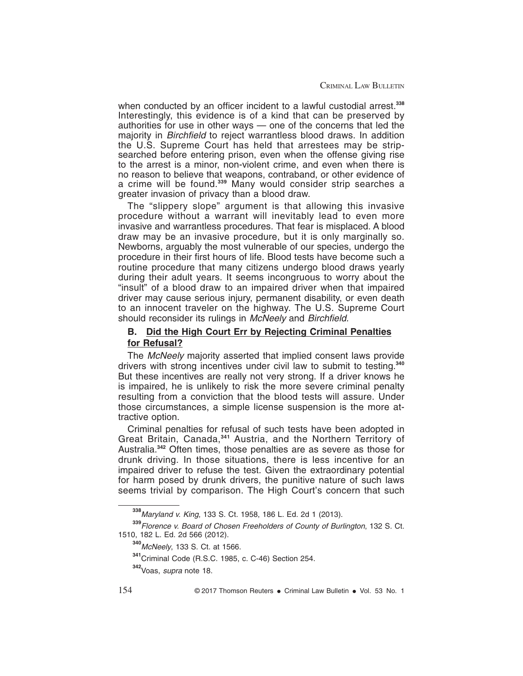when conducted by an officer incident to a lawful custodial arrest.<sup>338</sup> Interestingly, this evidence is of a kind that can be preserved by authorities for use in other ways — one of the concerns that led the majority in Birchfield to reject warrantless blood draws. In addition the U.S. Supreme Court has held that arrestees may be stripsearched before entering prison, even when the offense giving rise to the arrest is a minor, non-violent crime, and even when there is no reason to believe that weapons, contraband, or other evidence of a crime will be found.**<sup>339</sup>** Many would consider strip searches a greater invasion of privacy than a blood draw.

The "slippery slope" argument is that allowing this invasive procedure without a warrant will inevitably lead to even more invasive and warrantless procedures. That fear is misplaced. A blood draw may be an invasive procedure, but it is only marginally so. Newborns, arguably the most vulnerable of our species, undergo the procedure in their first hours of life. Blood tests have become such a routine procedure that many citizens undergo blood draws yearly during their adult years. It seems incongruous to worry about the "insult" of a blood draw to an impaired driver when that impaired driver may cause serious injury, permanent disability, or even death to an innocent traveler on the highway. The U.S. Supreme Court should reconsider its rulings in McNeely and Birchfield.

#### **B. Did the High Court Err by Rejecting Criminal Penalties for Refusal?**

The McNeely majority asserted that implied consent laws provide drivers with strong incentives under civil law to submit to testing.**<sup>340</sup>** But these incentives are really not very strong. If a driver knows he is impaired, he is unlikely to risk the more severe criminal penalty resulting from a conviction that the blood tests will assure. Under those circumstances, a simple license suspension is the more attractive option.

Criminal penalties for refusal of such tests have been adopted in Great Britain, Canada,**<sup>341</sup>** Austria, and the Northern Territory of Australia.**<sup>342</sup>** Often times, those penalties are as severe as those for drunk driving. In those situations, there is less incentive for an impaired driver to refuse the test. Given the extraordinary potential for harm posed by drunk drivers, the punitive nature of such laws seems trivial by comparison. The High Court's concern that such

**<sup>338</sup>**Maryland v. King, 133 S. Ct. 1958, 186 L. Ed. 2d 1 (2013).

**<sup>339</sup>**Florence v. Board of Chosen Freeholders of County of Burlington, 132 S. Ct. 1510, 182 L. Ed. 2d 566 (2012).

**<sup>340</sup>**McNeely, 133 S. Ct. at 1566.

**<sup>341</sup>**Criminal Code (R.S.C. 1985, c. C-46) Section 254.

**<sup>342</sup>**Voas, supra note 18.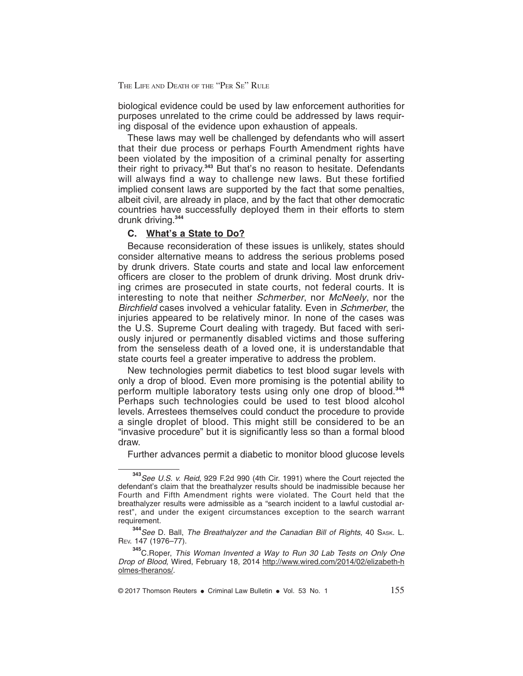biological evidence could be used by law enforcement authorities for purposes unrelated to the crime could be addressed by laws requiring disposal of the evidence upon exhaustion of appeals.

These laws may well be challenged by defendants who will assert that their due process or perhaps Fourth Amendment rights have been violated by the imposition of a criminal penalty for asserting their right to privacy.**<sup>343</sup>** But that's no reason to hesitate. Defendants will always find a way to challenge new laws. But these fortified implied consent laws are supported by the fact that some penalties, albeit civil, are already in place, and by the fact that other democratic countries have successfully deployed them in their efforts to stem drunk driving.**<sup>344</sup>**

#### **C. What's a State to Do?**

Because reconsideration of these issues is unlikely, states should consider alternative means to address the serious problems posed by drunk drivers. State courts and state and local law enforcement officers are closer to the problem of drunk driving. Most drunk driving crimes are prosecuted in state courts, not federal courts. It is interesting to note that neither *Schmerber*, nor *McNeely*, nor the Birchfield cases involved a vehicular fatality. Even in Schmerber, the injuries appeared to be relatively minor. In none of the cases was the U.S. Supreme Court dealing with tragedy. But faced with seriously injured or permanently disabled victims and those suffering from the senseless death of a loved one, it is understandable that state courts feel a greater imperative to address the problem.

New technologies permit diabetics to test blood sugar levels with only a drop of blood. Even more promising is the potential ability to perform multiple laboratory tests using only one drop of blood.**<sup>345</sup>** Perhaps such technologies could be used to test blood alcohol levels. Arrestees themselves could conduct the procedure to provide a single droplet of blood. This might still be considered to be an "invasive procedure" but it is significantly less so than a formal blood draw.

Further advances permit a diabetic to monitor blood glucose levels

**<sup>343</sup>**See U.S. v. Reid, 929 F.2d 990 (4th Cir. 1991) where the Court rejected the defendant's claim that the breathalyzer results should be inadmissible because her Fourth and Fifth Amendment rights were violated. The Court held that the breathalyzer results were admissible as a "search incident to a lawful custodial arrest", and under the exigent circumstances exception to the search warrant requirement.

<sup>344</sup> See D. Ball, The Breathalyzer and the Canadian Bill of Rights, 40 SASK. L. REV. 147 (1976–77).

**<sup>345</sup>**C.Roper, This Woman Invented <sup>a</sup> Way to Run <sup>30</sup> Lab Tests on Only One Drop of Blood, Wired, February 18, 2014 http://www.wired.com/2014/02/elizabeth-h olmes-theranos/.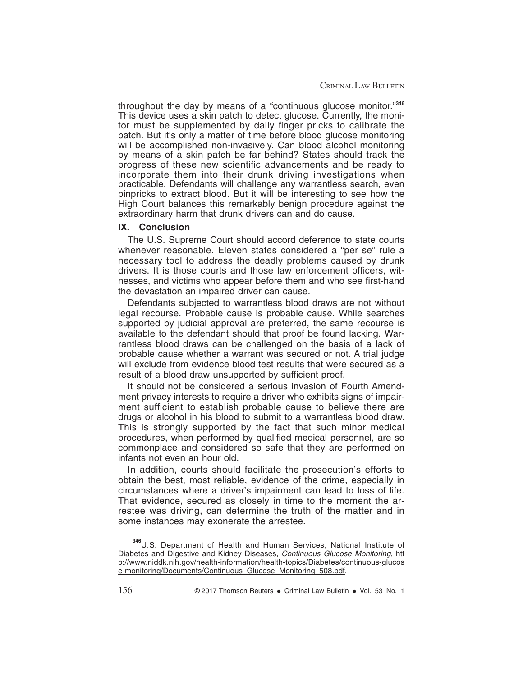CRIMINAL LAW BULLETIN

throughout the day by means of a "continuous glucose monitor."**<sup>346</sup>** This device uses a skin patch to detect glucose. Currently, the monitor must be supplemented by daily finger pricks to calibrate the patch. But it's only a matter of time before blood glucose monitoring will be accomplished non-invasively. Can blood alcohol monitoring by means of a skin patch be far behind? States should track the progress of these new scientific advancements and be ready to incorporate them into their drunk driving investigations when practicable. Defendants will challenge any warrantless search, even pinpricks to extract blood. But it will be interesting to see how the High Court balances this remarkably benign procedure against the extraordinary harm that drunk drivers can and do cause.

#### **IX. Conclusion**

The U.S. Supreme Court should accord deference to state courts whenever reasonable. Eleven states considered a "per se" rule a necessary tool to address the deadly problems caused by drunk drivers. It is those courts and those law enforcement officers, witnesses, and victims who appear before them and who see first-hand the devastation an impaired driver can cause.

Defendants subjected to warrantless blood draws are not without legal recourse. Probable cause is probable cause. While searches supported by judicial approval are preferred, the same recourse is available to the defendant should that proof be found lacking. Warrantless blood draws can be challenged on the basis of a lack of probable cause whether a warrant was secured or not. A trial judge will exclude from evidence blood test results that were secured as a result of a blood draw unsupported by sufficient proof.

It should not be considered a serious invasion of Fourth Amendment privacy interests to require a driver who exhibits signs of impairment sufficient to establish probable cause to believe there are drugs or alcohol in his blood to submit to a warrantless blood draw. This is strongly supported by the fact that such minor medical procedures, when performed by qualified medical personnel, are so commonplace and considered so safe that they are performed on infants not even an hour old.

In addition, courts should facilitate the prosecution's efforts to obtain the best, most reliable, evidence of the crime, especially in circumstances where a driver's impairment can lead to loss of life. That evidence, secured as closely in time to the moment the arrestee was driving, can determine the truth of the matter and in some instances may exonerate the arrestee.

**<sup>346</sup>**U.S. Department of Health and Human Services, National Institute of Diabetes and Digestive and Kidney Diseases, Continuous Glucose Monitoring, htt p://www.niddk.nih.gov/health-information/health-topics/Diabetes/continuous-glucos e-monitoring/Documents/Continuous\_Glucose\_Monitoring\_508.pdf.